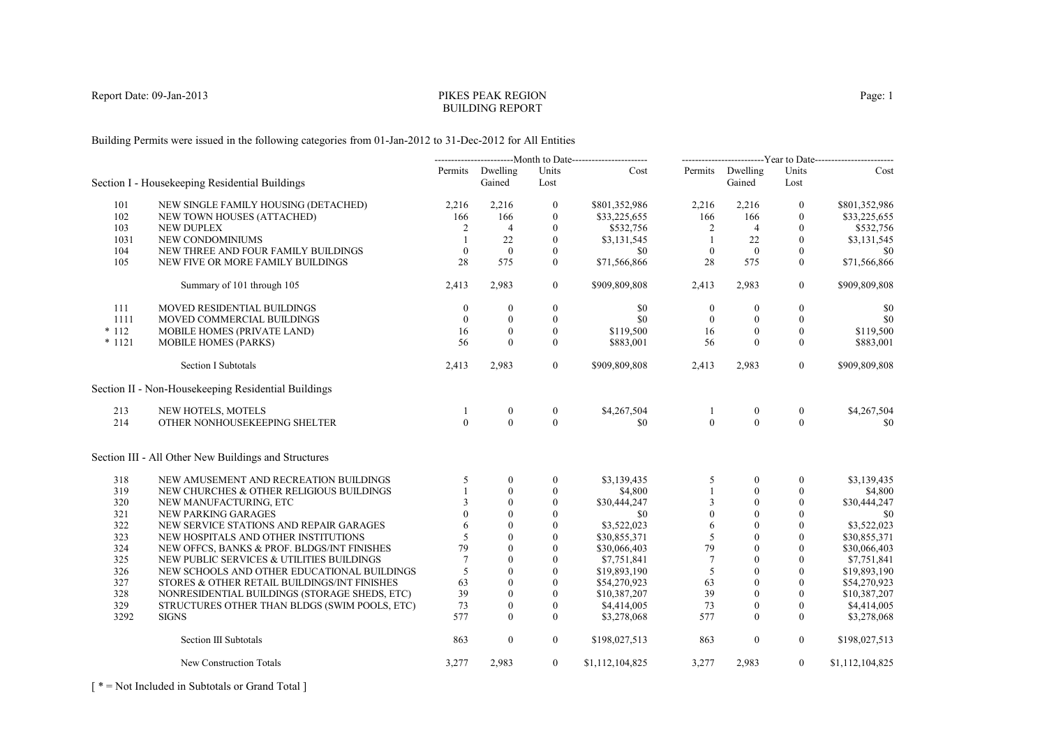# PIKES PEAK REGIONBUILDING REPORT

Building Permits were issued in the following categories from 01-Jan-2012 to 31-Dec-2012 for All Entities

|         |                                                      | --------------------------Month to Date------------------------ |                            |                  | -------------------------Year to Date------------------------ |                  |                            |                  |                 |
|---------|------------------------------------------------------|-----------------------------------------------------------------|----------------------------|------------------|---------------------------------------------------------------|------------------|----------------------------|------------------|-----------------|
|         | Section I - Housekeeping Residential Buildings       |                                                                 | Permits Dwelling<br>Gained | Units<br>Lost    | Cost                                                          |                  | Permits Dwelling<br>Gained | Units<br>Lost    | Cost            |
| 101     | NEW SINGLE FAMILY HOUSING (DETACHED)                 | 2,216                                                           | 2,216                      | $\boldsymbol{0}$ | \$801,352,986                                                 | 2,216            | 2,216                      | $\mathbf{0}$     | \$801,352,986   |
| 102     | NEW TOWN HOUSES (ATTACHED)                           | 166                                                             | 166                        | $\boldsymbol{0}$ | \$33,225,655                                                  | 166              | 166                        | $\mathbf{0}$     | \$33,225,655    |
| 103     | <b>NEW DUPLEX</b>                                    | 2                                                               | $\overline{4}$             | $\Omega$         | \$532,756                                                     | 2                | $\overline{4}$             | $\Omega$         | \$532,756       |
| 1031    | NEW CONDOMINIUMS                                     |                                                                 | 22                         | $\mathbf{0}$     | \$3,131,545                                                   | 1                | 22                         | $\mathbf{0}$     | \$3,131,545     |
| 104     | NEW THREE AND FOUR FAMILY BUILDINGS                  | $\theta$                                                        | $\overline{0}$             | $\Omega$         | \$0                                                           | $\theta$         | $\theta$                   | $\mathbf{0}$     | \$0             |
| 105     | NEW FIVE OR MORE FAMILY BUILDINGS                    | 28                                                              | 575                        | $\mathbf{0}$     | \$71,566,866                                                  | 28               | 575                        | $\theta$         | \$71,566,866    |
|         | Summary of 101 through 105                           | 2,413                                                           | 2,983                      | $\mathbf{0}$     | \$909,809,808                                                 | 2,413            | 2,983                      | $\boldsymbol{0}$ | \$909,809,808   |
| 111     | MOVED RESIDENTIAL BUILDINGS                          | $\theta$                                                        | $\boldsymbol{0}$           | $\boldsymbol{0}$ | \$0                                                           | $\boldsymbol{0}$ | $\mathbf{0}$               | $\boldsymbol{0}$ | \$0             |
| 1111    | MOVED COMMERCIAL BUILDINGS                           | $\theta$                                                        | $\mathbf{0}$               | $\mathbf{0}$     | \$0                                                           | $\mathbf{0}$     | $\mathbf{0}$               | $\mathbf{0}$     | \$0             |
| $*112$  | MOBILE HOMES (PRIVATE LAND)                          | 16                                                              | $\mathbf{0}$               | $\mathbf{0}$     | \$119,500                                                     | 16               | $\theta$                   | $\mathbf{0}$     | \$119,500       |
| $*1121$ | <b>MOBILE HOMES (PARKS)</b>                          | 56                                                              | $\theta$                   | $\mathbf{0}$     | \$883,001                                                     | 56               | $\theta$                   | $\mathbf{0}$     | \$883,001       |
|         | <b>Section I Subtotals</b>                           | 2,413                                                           | 2,983                      | $\overline{0}$   | \$909,809,808                                                 | 2,413            | 2,983                      | $\overline{0}$   | \$909,809,808   |
|         | Section II - Non-Housekeeping Residential Buildings  |                                                                 |                            |                  |                                                               |                  |                            |                  |                 |
| 213     | NEW HOTELS, MOTELS                                   |                                                                 | $\boldsymbol{0}$           | $\boldsymbol{0}$ | \$4,267,504                                                   | -1               | $\mathbf{0}$               | $\boldsymbol{0}$ | \$4,267,504     |
| 214     | OTHER NONHOUSEKEEPING SHELTER                        | $\Omega$                                                        | $\theta$                   | $\theta$         | \$0                                                           | $\mathbf{0}$     | $\theta$                   | $\theta$         | \$0             |
|         | Section III - All Other New Buildings and Structures |                                                                 |                            |                  |                                                               |                  |                            |                  |                 |
| 318     | NEW AMUSEMENT AND RECREATION BUILDINGS               | 5                                                               | $\mathbf{0}$               | $\boldsymbol{0}$ | \$3,139,435                                                   | 5                | $\mathbf{0}$               | $\mathbf{0}$     | \$3,139,435     |
| 319     | NEW CHURCHES & OTHER RELIGIOUS BUILDINGS             |                                                                 | $\theta$                   | $\mathbf{0}$     | \$4,800                                                       |                  | $\theta$                   | $\mathbf{0}$     | \$4,800         |
| 320     | NEW MANUFACTURING, ETC                               |                                                                 | $\theta$                   | $\mathbf{0}$     | \$30,444,247                                                  | 3                | $\mathbf{0}$               | $\theta$         | \$30,444,247    |
| 321     | NEW PARKING GARAGES                                  |                                                                 | $\theta$                   | $\mathbf{0}$     | \$0                                                           | $\mathbf{0}$     | $\mathbf{0}$               | $\theta$         | \$0             |
| 322     | NEW SERVICE STATIONS AND REPAIR GARAGES              | 6                                                               | $\theta$                   | $\mathbf{0}$     | \$3,522,023                                                   | 6                | $\mathbf{0}$               | $\mathbf{0}$     | \$3,522,023     |
| 323     | NEW HOSPITALS AND OTHER INSTITUTIONS                 | 5                                                               | $\theta$                   | $\theta$         | \$30,855,371                                                  | 5                | $\theta$                   | $\mathbf{0}$     | \$30,855,371    |
| 324     | NEW OFFCS, BANKS & PROF. BLDGS/INT FINISHES          | 79                                                              | $\theta$                   | $\theta$         | \$30,066,403                                                  | 79               | $\theta$                   | $\theta$         | \$30,066,403    |
| 325     | NEW PUBLIC SERVICES & UTILITIES BUILDINGS            | $7\phantom{.0}$                                                 | $\theta$                   | $\mathbf{0}$     | \$7,751,841                                                   | $7\phantom{.0}$  | $\mathbf{0}$               | $\mathbf{0}$     | \$7,751,841     |
| 326     | NEW SCHOOLS AND OTHER EDUCATIONAL BUILDINGS          | 5                                                               | $\theta$                   | $\mathbf{0}$     | \$19,893,190                                                  | 5                | $\theta$                   | $\mathbf{0}$     | \$19,893,190    |
| 327     | STORES & OTHER RETAIL BUILDINGS/INT FINISHES         | 63                                                              | $\theta$                   | $\theta$         | \$54,270,923                                                  | 63               | $\theta$                   | $\Omega$         | \$54,270,923    |
| 328     | NONRESIDENTIAL BUILDINGS (STORAGE SHEDS, ETC)        | 39                                                              | $\mathbf{0}$               | $\mathbf{0}$     | \$10,387,207                                                  | 39               | $\mathbf{0}$               | $\mathbf{0}$     | \$10,387,207    |
| 329     | STRUCTURES OTHER THAN BLDGS (SWIM POOLS, ETC)        | 73                                                              | $\mathbf{0}$               | $\mathbf{0}$     | \$4,414,005                                                   | 73               | $\mathbf{0}$               | $\mathbf{0}$     | \$4,414,005     |
| 3292    | <b>SIGNS</b>                                         | 577                                                             | $\theta$                   | $\theta$         | \$3,278,068                                                   | 577              | $\Omega$                   | $\theta$         | \$3,278,068     |
|         | Section III Subtotals                                | 863                                                             | $\overline{0}$             | $\mathbf{0}$     | \$198,027,513                                                 | 863              | $\boldsymbol{0}$           | $\mathbf{0}$     | \$198,027,513   |
|         | New Construction Totals                              | 3,277                                                           | 2,983                      | $\overline{0}$   | \$1,112,104,825                                               | 3,277            | 2,983                      | $\overline{0}$   | \$1,112,104,825 |
|         |                                                      |                                                                 |                            |                  |                                                               |                  |                            |                  |                 |

[ \* = Not Included in Subtotals or Grand Total ]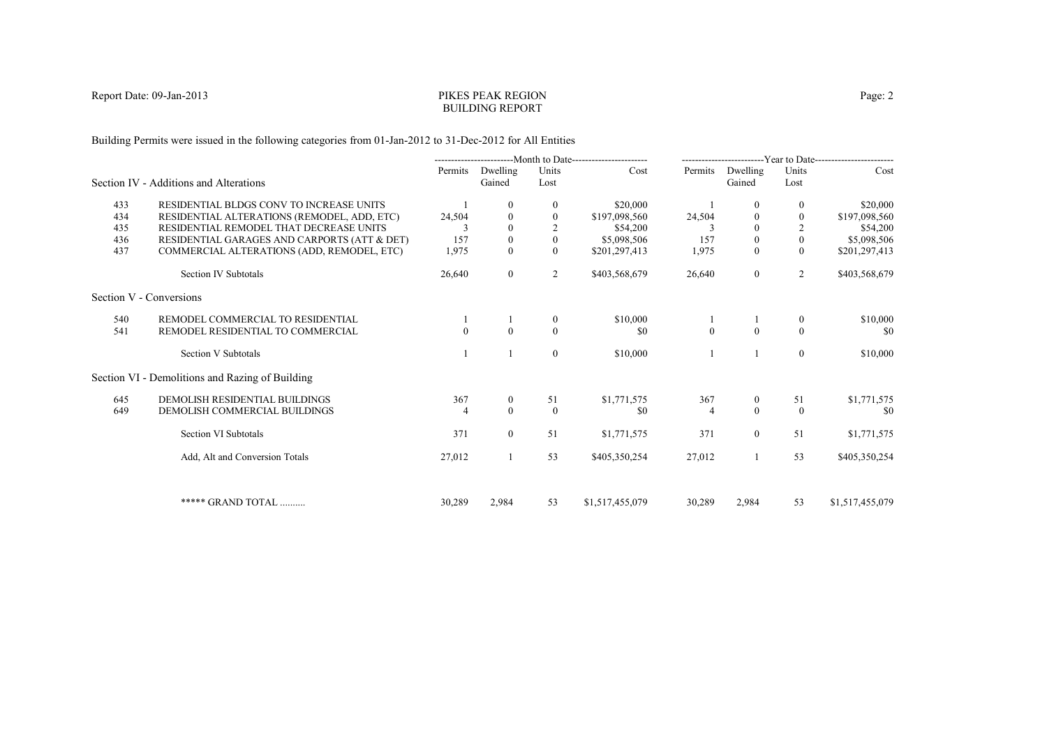# PIKES PEAK REGIONBUILDING REPORT

Building Permits were issued in the following categories from 01-Jan-2012 to 31-Dec-2012 for All Entities

|     |                                                 | --------------------------Month to Date----------------------- |                    |                  | -------------------------Year to Date------------------------ |              |                    |                |                 |
|-----|-------------------------------------------------|----------------------------------------------------------------|--------------------|------------------|---------------------------------------------------------------|--------------|--------------------|----------------|-----------------|
|     | Section IV - Additions and Alterations          | Permits                                                        | Dwelling<br>Gained | Units<br>Lost    | Cost                                                          | Permits      | Dwelling<br>Gained | Units<br>Lost  | Cost            |
| 433 | RESIDENTIAL BLDGS CONV TO INCREASE UNITS        |                                                                | $^{(1)}$           | $\bf{0}$         | \$20,000                                                      |              | $\left($           | 0              | \$20,000        |
| 434 | RESIDENTIAL ALTERATIONS (REMODEL, ADD, ETC)     | 24,504                                                         | 0                  | $\mathbf{0}$     | \$197,098,560                                                 | 24,504       |                    | 0              | \$197,098,560   |
| 435 | RESIDENTIAL REMODEL THAT DECREASE UNITS         |                                                                | $\Omega$           | $\mathcal{P}$    | \$54,200                                                      |              | $\Omega$           |                | \$54,200        |
| 436 | RESIDENTIAL GARAGES AND CARPORTS (ATT & DET)    | 157                                                            | $\mathbf{0}$       | $\mathbf{0}$     | \$5,098,506                                                   | 157          | $\mathbf{0}$       | $\mathbf{0}$   | \$5,098,506     |
| 437 | COMMERCIAL ALTERATIONS (ADD, REMODEL, ETC)      | 1,975                                                          | $\theta$           | $\Omega$         | \$201,297,413                                                 | 1,975        | $\Omega$           | $\Omega$       | \$201,297,413   |
|     | Section IV Subtotals                            | 26,640                                                         | $\overline{0}$     | 2                | \$403,568,679                                                 | 26,640       | $\overline{0}$     | $\overline{2}$ | \$403,568,679   |
|     | Section V - Conversions                         |                                                                |                    |                  |                                                               |              |                    |                |                 |
| 540 | REMODEL COMMERCIAL TO RESIDENTIAL               |                                                                |                    | $\bf{0}$         | \$10,000                                                      |              |                    | $\bf{0}$       | \$10,000        |
| 541 | REMODEL RESIDENTIAL TO COMMERCIAL               |                                                                | $\Omega$           | $\theta$         | \$0                                                           | $\mathbf{0}$ | $\theta$           | $\Omega$       | \$0             |
|     | Section V Subtotals                             |                                                                |                    | $\boldsymbol{0}$ | \$10,000                                                      |              |                    | $\overline{0}$ | \$10,000        |
|     | Section VI - Demolitions and Razing of Building |                                                                |                    |                  |                                                               |              |                    |                |                 |
| 645 | <b>DEMOLISH RESIDENTIAL BUILDINGS</b>           | 367                                                            | $\overline{0}$     | 51               | \$1,771,575                                                   | 367          | $\mathbf{0}$       | 51             | \$1,771,575     |
| 649 | DEMOLISH COMMERCIAL BUILDINGS                   | 4                                                              | $\theta$           | $\theta$         | \$0                                                           |              | $\theta$           | $\theta$       | \$0             |
|     | Section VI Subtotals                            | 371                                                            | $\overline{0}$     | 51               | \$1,771,575                                                   | 371          | $\overline{0}$     | 51             | \$1,771,575     |
|     | Add, Alt and Conversion Totals                  | 27,012                                                         |                    | 53               | \$405,350,254                                                 | 27,012       |                    | 53             | \$405,350,254   |
|     |                                                 |                                                                |                    |                  |                                                               |              |                    |                |                 |
|     | ***** GRAND TOTAL                               | 30,289                                                         | 2,984              | 53               | \$1,517,455,079                                               | 30,289       | 2,984              | 53             | \$1,517,455,079 |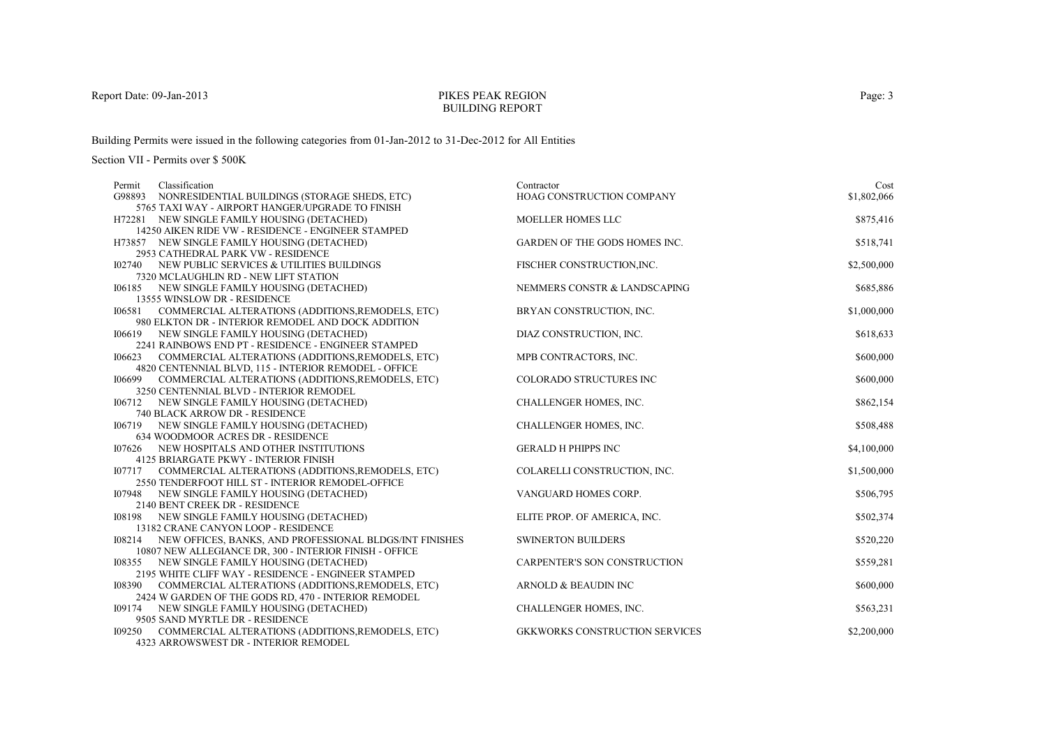# PIKES PEAK REGIONBUILDING REPORT

Building Permits were issued in the following categories from 01-Jan-2012 to 31-Dec-2012 for All Entities

| Permit | Classification                                                                                                   | Contractor                            | Cost        |
|--------|------------------------------------------------------------------------------------------------------------------|---------------------------------------|-------------|
|        | G98893 NONRESIDENTIAL BUILDINGS (STORAGE SHEDS, ETC)                                                             | HOAG CONSTRUCTION COMPANY             | \$1,802,066 |
|        | 5765 TAXI WAY - AIRPORT HANGER/UPGRADE TO FINISH                                                                 |                                       |             |
|        | H72281 NEW SINGLE FAMILY HOUSING (DETACHED)                                                                      | MOELLER HOMES LLC                     | \$875,416   |
|        | 14250 AIKEN RIDE VW - RESIDENCE - ENGINEER STAMPED                                                               |                                       |             |
|        | H73857 NEW SINGLE FAMILY HOUSING (DETACHED)                                                                      | <b>GARDEN OF THE GODS HOMES INC.</b>  | \$518,741   |
|        | 2953 CATHEDRAL PARK VW - RESIDENCE                                                                               |                                       |             |
|        | 102740 NEW PUBLIC SERVICES & UTILITIES BUILDINGS                                                                 | FISCHER CONSTRUCTION, INC.            | \$2,500,000 |
|        | 7320 MCLAUGHLIN RD - NEW LIFT STATION                                                                            |                                       |             |
|        | 106185 NEW SINGLE FAMILY HOUSING (DETACHED)                                                                      | NEMMERS CONSTR & LANDSCAPING          | \$685,886   |
|        | 13555 WINSLOW DR - RESIDENCE                                                                                     |                                       |             |
|        | 106581 COMMERCIAL ALTERATIONS (ADDITIONS, REMODELS, ETC)                                                         | BRYAN CONSTRUCTION, INC.              | \$1,000,000 |
|        | 980 ELKTON DR - INTERIOR REMODEL AND DOCK ADDITION                                                               |                                       |             |
|        | 106619 NEW SINGLE FAMILY HOUSING (DETACHED)                                                                      | DIAZ CONSTRUCTION, INC.               | \$618,633   |
|        | 2241 RAINBOWS END PT - RESIDENCE - ENGINEER STAMPED                                                              |                                       |             |
|        | 106623 COMMERCIAL ALTERATIONS (ADDITIONS, REMODELS, ETC)                                                         | MPB CONTRACTORS, INC.                 | \$600,000   |
|        | 4820 CENTENNIAL BLVD, 115 - INTERIOR REMODEL - OFFICE                                                            |                                       |             |
|        | 106699 COMMERCIAL ALTERATIONS (ADDITIONS, REMODELS, ETC)                                                         | COLORADO STRUCTURES INC               | \$600,000   |
|        | 3250 CENTENNIAL BLVD - INTERIOR REMODEL                                                                          |                                       |             |
|        | 106712 NEW SINGLE FAMILY HOUSING (DETACHED)                                                                      | CHALLENGER HOMES, INC.                | \$862,154   |
|        | 740 BLACK ARROW DR - RESIDENCE                                                                                   |                                       |             |
|        | 106719 NEW SINGLE FAMILY HOUSING (DETACHED)                                                                      | CHALLENGER HOMES, INC.                | \$508,488   |
|        | 634 WOODMOOR ACRES DR - RESIDENCE                                                                                |                                       |             |
| 107626 | NEW HOSPITALS AND OTHER INSTITUTIONS                                                                             | <b>GERALD H PHIPPS INC</b>            | \$4,100,000 |
|        | 4125 BRIARGATE PKWY - INTERIOR FINISH                                                                            |                                       |             |
|        | 107717 COMMERCIAL ALTERATIONS (ADDITIONS, REMODELS, ETC)                                                         | COLARELLI CONSTRUCTION, INC.          | \$1,500,000 |
|        | 2550 TENDERFOOT HILL ST - INTERIOR REMODEL-OFFICE                                                                |                                       |             |
|        | 107948 NEW SINGLE FAMILY HOUSING (DETACHED)                                                                      | VANGUARD HOMES CORP.                  | \$506,795   |
|        | 2140 BENT CREEK DR - RESIDENCE                                                                                   |                                       |             |
|        | 108198 NEW SINGLE FAMILY HOUSING (DETACHED)                                                                      | ELITE PROP. OF AMERICA, INC.          | \$502,374   |
|        | 13182 CRANE CANYON LOOP - RESIDENCE                                                                              |                                       |             |
|        | 108214 NEW OFFICES, BANKS, AND PROFESSIONAL BLDGS/INT FINISHES                                                   | <b>SWINERTON BUILDERS</b>             | \$520,220   |
|        | 10807 NEW ALLEGIANCE DR. 300 - INTERIOR FINISH - OFFICE                                                          | CARPENTER'S SON CONSTRUCTION          | \$559,281   |
| 108355 | NEW SINGLE FAMILY HOUSING (DETACHED)                                                                             |                                       |             |
|        | 2195 WHITE CLIFF WAY - RESIDENCE - ENGINEER STAMPED                                                              | ARNOLD & BEAUDIN INC                  | \$600,000   |
|        | 108390 COMMERCIAL ALTERATIONS (ADDITIONS, REMODELS, ETC)<br>2424 W GARDEN OF THE GODS RD, 470 - INTERIOR REMODEL |                                       |             |
|        | 109174 NEW SINGLE FAMILY HOUSING (DETACHED)                                                                      | CHALLENGER HOMES, INC.                | \$563,231   |
|        | 9505 SAND MYRTLE DR - RESIDENCE                                                                                  |                                       |             |
| 109250 | COMMERCIAL ALTERATIONS (ADDITIONS, REMODELS, ETC)                                                                | <b>GKKWORKS CONSTRUCTION SERVICES</b> | \$2,200,000 |
|        | 4323 ARROWSWEST DR - INTERIOR REMODEL                                                                            |                                       |             |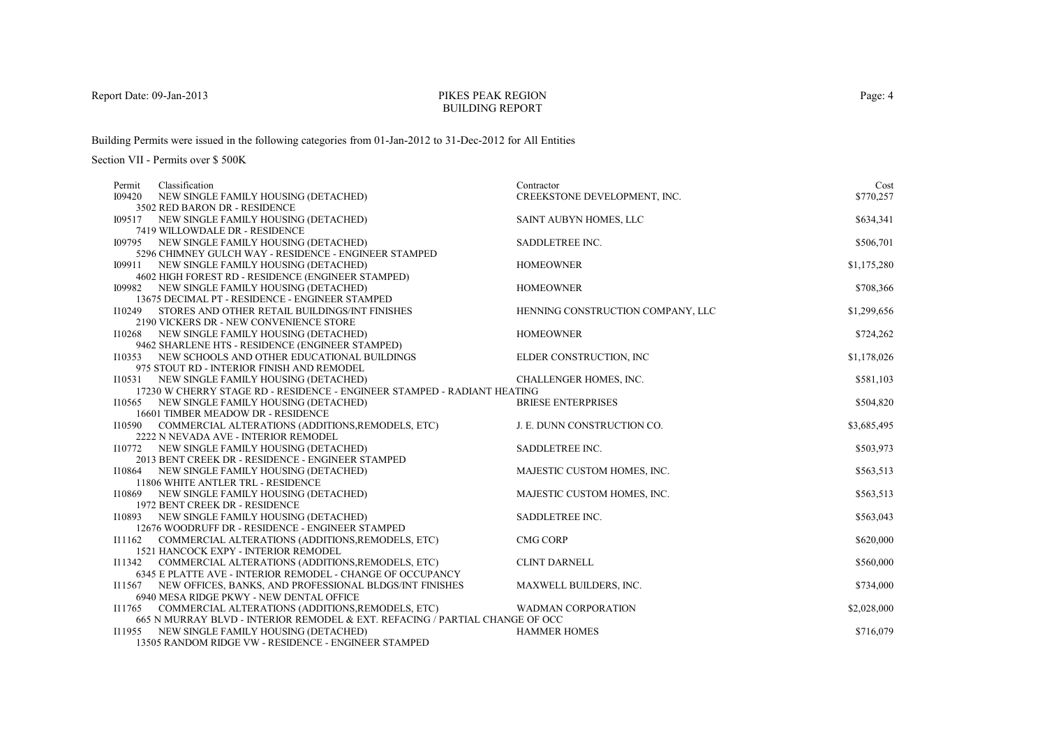# PIKES PEAK REGIONBUILDING REPORT

Building Permits were issued in the following categories from 01-Jan-2012 to 31-Dec-2012 for All Entities

| Classification<br>Permit                                                     | Contractor                        | Cost        |
|------------------------------------------------------------------------------|-----------------------------------|-------------|
| 109420<br>NEW SINGLE FAMILY HOUSING (DETACHED)                               | CREEKSTONE DEVELOPMENT, INC.      | \$770,257   |
| 3502 RED BARON DR - RESIDENCE                                                |                                   |             |
| 109517 NEW SINGLE FAMILY HOUSING (DETACHED)                                  | SAINT AUBYN HOMES, LLC            | \$634,341   |
| 7419 WILLOWDALE DR - RESIDENCE                                               |                                   |             |
| 109795 NEW SINGLE FAMILY HOUSING (DETACHED)                                  | SADDLETREE INC.                   | \$506,701   |
| 5296 CHIMNEY GULCH WAY - RESIDENCE - ENGINEER STAMPED                        |                                   |             |
| 109911 NEW SINGLE FAMILY HOUSING (DETACHED)                                  | <b>HOMEOWNER</b>                  | \$1,175,280 |
| 4602 HIGH FOREST RD - RESIDENCE (ENGINEER STAMPED)                           |                                   |             |
| 109982 NEW SINGLE FAMILY HOUSING (DETACHED)                                  | <b>HOMEOWNER</b>                  | \$708,366   |
| 13675 DECIMAL PT - RESIDENCE - ENGINEER STAMPED                              |                                   |             |
| I10249<br>STORES AND OTHER RETAIL BUILDINGS/INT FINISHES                     | HENNING CONSTRUCTION COMPANY, LLC | \$1,299,656 |
| 2190 VICKERS DR - NEW CONVENIENCE STORE                                      |                                   |             |
| 110268 NEW SINGLE FAMILY HOUSING (DETACHED)                                  | <b>HOMEOWNER</b>                  | \$724,262   |
| 9462 SHARLENE HTS - RESIDENCE (ENGINEER STAMPED)                             |                                   |             |
| 110353 NEW SCHOOLS AND OTHER EDUCATIONAL BUILDINGS                           | ELDER CONSTRUCTION, INC           | \$1,178,026 |
| 975 STOUT RD - INTERIOR FINISH AND REMODEL                                   |                                   |             |
| 110531 NEW SINGLE FAMILY HOUSING (DETACHED)                                  | <b>CHALLENGER HOMES, INC.</b>     | \$581,103   |
| 17230 W CHERRY STAGE RD - RESIDENCE - ENGINEER STAMPED - RADIANT HEATING     |                                   |             |
| 110565 NEW SINGLE FAMILY HOUSING (DETACHED)                                  | <b>BRIESE ENTERPRISES</b>         | \$504,820   |
| 16601 TIMBER MEADOW DR - RESIDENCE                                           |                                   |             |
| COMMERCIAL ALTERATIONS (ADDITIONS, REMODELS, ETC)<br>I10590                  | J. E. DUNN CONSTRUCTION CO.       | \$3,685,495 |
| 2222 N NEVADA AVE - INTERIOR REMODEL                                         |                                   |             |
| 110772 NEW SINGLE FAMILY HOUSING (DETACHED)                                  | SADDLETREE INC.                   | \$503,973   |
| 2013 BENT CREEK DR - RESIDENCE - ENGINEER STAMPED                            |                                   |             |
| I10864<br>NEW SINGLE FAMILY HOUSING (DETACHED)                               | MAJESTIC CUSTOM HOMES, INC.       | \$563,513   |
| 11806 WHITE ANTLER TRL - RESIDENCE                                           |                                   |             |
| 110869 NEW SINGLE FAMILY HOUSING (DETACHED)                                  | MAJESTIC CUSTOM HOMES, INC.       | \$563,513   |
| 1972 BENT CREEK DR - RESIDENCE                                               |                                   |             |
| 110893 NEW SINGLE FAMILY HOUSING (DETACHED)                                  | SADDLETREE INC.                   | \$563,043   |
| 12676 WOODRUFF DR - RESIDENCE - ENGINEER STAMPED                             |                                   |             |
| I11162<br>COMMERCIAL ALTERATIONS (ADDITIONS, REMODELS, ETC)                  | <b>CMG CORP</b>                   | \$620,000   |
| <b>1521 HANCOCK EXPY - INTERIOR REMODEL</b>                                  |                                   |             |
| I11342<br>COMMERCIAL ALTERATIONS (ADDITIONS, REMODELS, ETC)                  | <b>CLINT DARNELL</b>              | \$560,000   |
| 6345 E PLATTE AVE - INTERIOR REMODEL - CHANGE OF OCCUPANCY                   |                                   |             |
| NEW OFFICES, BANKS, AND PROFESSIONAL BLDGS/INT FINISHES<br>I11567            | MAXWELL BUILDERS, INC.            | \$734,000   |
| 6940 MESA RIDGE PKWY - NEW DENTAL OFFICE                                     |                                   |             |
| COMMERCIAL ALTERATIONS (ADDITIONS, REMODELS, ETC)<br>I11765                  | <b>WADMAN CORPORATION</b>         | \$2,028,000 |
| 665 N MURRAY BLVD - INTERIOR REMODEL & EXT. REFACING / PARTIAL CHANGE OF OCC |                                   |             |
| I11955 NEW SINGLE FAMILY HOUSING (DETACHED)                                  | <b>HAMMER HOMES</b>               | \$716,079   |
| 13505 RANDOM RIDGE VW - RESIDENCE - ENGINEER STAMPED                         |                                   |             |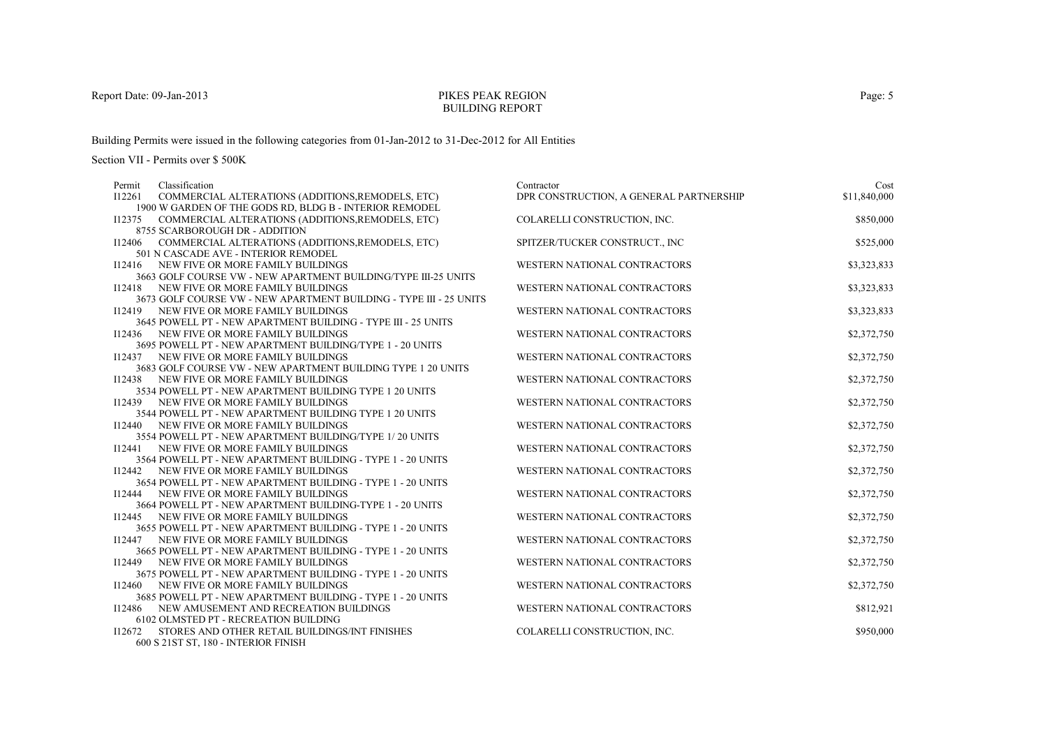# PIKES PEAK REGIONBUILDING REPORT

Building Permits were issued in the following categories from 01-Jan-2012 to 31-Dec-2012 for All Entities

| Classification                                    | Contractor                                                                                                                                                                                                                                                                                                                                                                                                                                                                                                                                                                                                                                                                                                                                                                                                                                                                                                                                                                                                                                                                                                                                                                                                                                                                                                                                                                                                                                                                                                                                                                                                                                                                                                                                                                                                                                                                                                                                          | Cost                                                                                                                                                                                                                                                                                                                                                                                                                                                                                                                                                         |
|---------------------------------------------------|-----------------------------------------------------------------------------------------------------------------------------------------------------------------------------------------------------------------------------------------------------------------------------------------------------------------------------------------------------------------------------------------------------------------------------------------------------------------------------------------------------------------------------------------------------------------------------------------------------------------------------------------------------------------------------------------------------------------------------------------------------------------------------------------------------------------------------------------------------------------------------------------------------------------------------------------------------------------------------------------------------------------------------------------------------------------------------------------------------------------------------------------------------------------------------------------------------------------------------------------------------------------------------------------------------------------------------------------------------------------------------------------------------------------------------------------------------------------------------------------------------------------------------------------------------------------------------------------------------------------------------------------------------------------------------------------------------------------------------------------------------------------------------------------------------------------------------------------------------------------------------------------------------------------------------------------------------|--------------------------------------------------------------------------------------------------------------------------------------------------------------------------------------------------------------------------------------------------------------------------------------------------------------------------------------------------------------------------------------------------------------------------------------------------------------------------------------------------------------------------------------------------------------|
| COMMERCIAL ALTERATIONS (ADDITIONS, REMODELS, ETC) | DPR CONSTRUCTION, A GENERAL PARTNERSHIP                                                                                                                                                                                                                                                                                                                                                                                                                                                                                                                                                                                                                                                                                                                                                                                                                                                                                                                                                                                                                                                                                                                                                                                                                                                                                                                                                                                                                                                                                                                                                                                                                                                                                                                                                                                                                                                                                                             | \$11,840,000                                                                                                                                                                                                                                                                                                                                                                                                                                                                                                                                                 |
|                                                   |                                                                                                                                                                                                                                                                                                                                                                                                                                                                                                                                                                                                                                                                                                                                                                                                                                                                                                                                                                                                                                                                                                                                                                                                                                                                                                                                                                                                                                                                                                                                                                                                                                                                                                                                                                                                                                                                                                                                                     |                                                                                                                                                                                                                                                                                                                                                                                                                                                                                                                                                              |
|                                                   | COLARELLI CONSTRUCTION, INC.                                                                                                                                                                                                                                                                                                                                                                                                                                                                                                                                                                                                                                                                                                                                                                                                                                                                                                                                                                                                                                                                                                                                                                                                                                                                                                                                                                                                                                                                                                                                                                                                                                                                                                                                                                                                                                                                                                                        | \$850,000                                                                                                                                                                                                                                                                                                                                                                                                                                                                                                                                                    |
|                                                   |                                                                                                                                                                                                                                                                                                                                                                                                                                                                                                                                                                                                                                                                                                                                                                                                                                                                                                                                                                                                                                                                                                                                                                                                                                                                                                                                                                                                                                                                                                                                                                                                                                                                                                                                                                                                                                                                                                                                                     |                                                                                                                                                                                                                                                                                                                                                                                                                                                                                                                                                              |
| COMMERCIAL ALTERATIONS (ADDITIONS, REMODELS, ETC) | SPITZER/TUCKER CONSTRUCT., INC                                                                                                                                                                                                                                                                                                                                                                                                                                                                                                                                                                                                                                                                                                                                                                                                                                                                                                                                                                                                                                                                                                                                                                                                                                                                                                                                                                                                                                                                                                                                                                                                                                                                                                                                                                                                                                                                                                                      | \$525,000                                                                                                                                                                                                                                                                                                                                                                                                                                                                                                                                                    |
|                                                   |                                                                                                                                                                                                                                                                                                                                                                                                                                                                                                                                                                                                                                                                                                                                                                                                                                                                                                                                                                                                                                                                                                                                                                                                                                                                                                                                                                                                                                                                                                                                                                                                                                                                                                                                                                                                                                                                                                                                                     |                                                                                                                                                                                                                                                                                                                                                                                                                                                                                                                                                              |
|                                                   |                                                                                                                                                                                                                                                                                                                                                                                                                                                                                                                                                                                                                                                                                                                                                                                                                                                                                                                                                                                                                                                                                                                                                                                                                                                                                                                                                                                                                                                                                                                                                                                                                                                                                                                                                                                                                                                                                                                                                     | \$3,323,833                                                                                                                                                                                                                                                                                                                                                                                                                                                                                                                                                  |
|                                                   |                                                                                                                                                                                                                                                                                                                                                                                                                                                                                                                                                                                                                                                                                                                                                                                                                                                                                                                                                                                                                                                                                                                                                                                                                                                                                                                                                                                                                                                                                                                                                                                                                                                                                                                                                                                                                                                                                                                                                     |                                                                                                                                                                                                                                                                                                                                                                                                                                                                                                                                                              |
|                                                   |                                                                                                                                                                                                                                                                                                                                                                                                                                                                                                                                                                                                                                                                                                                                                                                                                                                                                                                                                                                                                                                                                                                                                                                                                                                                                                                                                                                                                                                                                                                                                                                                                                                                                                                                                                                                                                                                                                                                                     | \$3,323,833                                                                                                                                                                                                                                                                                                                                                                                                                                                                                                                                                  |
|                                                   |                                                                                                                                                                                                                                                                                                                                                                                                                                                                                                                                                                                                                                                                                                                                                                                                                                                                                                                                                                                                                                                                                                                                                                                                                                                                                                                                                                                                                                                                                                                                                                                                                                                                                                                                                                                                                                                                                                                                                     |                                                                                                                                                                                                                                                                                                                                                                                                                                                                                                                                                              |
|                                                   |                                                                                                                                                                                                                                                                                                                                                                                                                                                                                                                                                                                                                                                                                                                                                                                                                                                                                                                                                                                                                                                                                                                                                                                                                                                                                                                                                                                                                                                                                                                                                                                                                                                                                                                                                                                                                                                                                                                                                     | \$3,323,833                                                                                                                                                                                                                                                                                                                                                                                                                                                                                                                                                  |
|                                                   |                                                                                                                                                                                                                                                                                                                                                                                                                                                                                                                                                                                                                                                                                                                                                                                                                                                                                                                                                                                                                                                                                                                                                                                                                                                                                                                                                                                                                                                                                                                                                                                                                                                                                                                                                                                                                                                                                                                                                     |                                                                                                                                                                                                                                                                                                                                                                                                                                                                                                                                                              |
|                                                   |                                                                                                                                                                                                                                                                                                                                                                                                                                                                                                                                                                                                                                                                                                                                                                                                                                                                                                                                                                                                                                                                                                                                                                                                                                                                                                                                                                                                                                                                                                                                                                                                                                                                                                                                                                                                                                                                                                                                                     | \$2,372,750                                                                                                                                                                                                                                                                                                                                                                                                                                                                                                                                                  |
|                                                   |                                                                                                                                                                                                                                                                                                                                                                                                                                                                                                                                                                                                                                                                                                                                                                                                                                                                                                                                                                                                                                                                                                                                                                                                                                                                                                                                                                                                                                                                                                                                                                                                                                                                                                                                                                                                                                                                                                                                                     |                                                                                                                                                                                                                                                                                                                                                                                                                                                                                                                                                              |
|                                                   |                                                                                                                                                                                                                                                                                                                                                                                                                                                                                                                                                                                                                                                                                                                                                                                                                                                                                                                                                                                                                                                                                                                                                                                                                                                                                                                                                                                                                                                                                                                                                                                                                                                                                                                                                                                                                                                                                                                                                     | \$2,372,750                                                                                                                                                                                                                                                                                                                                                                                                                                                                                                                                                  |
|                                                   |                                                                                                                                                                                                                                                                                                                                                                                                                                                                                                                                                                                                                                                                                                                                                                                                                                                                                                                                                                                                                                                                                                                                                                                                                                                                                                                                                                                                                                                                                                                                                                                                                                                                                                                                                                                                                                                                                                                                                     |                                                                                                                                                                                                                                                                                                                                                                                                                                                                                                                                                              |
|                                                   |                                                                                                                                                                                                                                                                                                                                                                                                                                                                                                                                                                                                                                                                                                                                                                                                                                                                                                                                                                                                                                                                                                                                                                                                                                                                                                                                                                                                                                                                                                                                                                                                                                                                                                                                                                                                                                                                                                                                                     | \$2,372,750                                                                                                                                                                                                                                                                                                                                                                                                                                                                                                                                                  |
|                                                   |                                                                                                                                                                                                                                                                                                                                                                                                                                                                                                                                                                                                                                                                                                                                                                                                                                                                                                                                                                                                                                                                                                                                                                                                                                                                                                                                                                                                                                                                                                                                                                                                                                                                                                                                                                                                                                                                                                                                                     |                                                                                                                                                                                                                                                                                                                                                                                                                                                                                                                                                              |
|                                                   |                                                                                                                                                                                                                                                                                                                                                                                                                                                                                                                                                                                                                                                                                                                                                                                                                                                                                                                                                                                                                                                                                                                                                                                                                                                                                                                                                                                                                                                                                                                                                                                                                                                                                                                                                                                                                                                                                                                                                     | \$2,372,750                                                                                                                                                                                                                                                                                                                                                                                                                                                                                                                                                  |
|                                                   |                                                                                                                                                                                                                                                                                                                                                                                                                                                                                                                                                                                                                                                                                                                                                                                                                                                                                                                                                                                                                                                                                                                                                                                                                                                                                                                                                                                                                                                                                                                                                                                                                                                                                                                                                                                                                                                                                                                                                     |                                                                                                                                                                                                                                                                                                                                                                                                                                                                                                                                                              |
|                                                   |                                                                                                                                                                                                                                                                                                                                                                                                                                                                                                                                                                                                                                                                                                                                                                                                                                                                                                                                                                                                                                                                                                                                                                                                                                                                                                                                                                                                                                                                                                                                                                                                                                                                                                                                                                                                                                                                                                                                                     | \$2,372,750                                                                                                                                                                                                                                                                                                                                                                                                                                                                                                                                                  |
|                                                   |                                                                                                                                                                                                                                                                                                                                                                                                                                                                                                                                                                                                                                                                                                                                                                                                                                                                                                                                                                                                                                                                                                                                                                                                                                                                                                                                                                                                                                                                                                                                                                                                                                                                                                                                                                                                                                                                                                                                                     |                                                                                                                                                                                                                                                                                                                                                                                                                                                                                                                                                              |
|                                                   |                                                                                                                                                                                                                                                                                                                                                                                                                                                                                                                                                                                                                                                                                                                                                                                                                                                                                                                                                                                                                                                                                                                                                                                                                                                                                                                                                                                                                                                                                                                                                                                                                                                                                                                                                                                                                                                                                                                                                     | \$2,372,750                                                                                                                                                                                                                                                                                                                                                                                                                                                                                                                                                  |
|                                                   |                                                                                                                                                                                                                                                                                                                                                                                                                                                                                                                                                                                                                                                                                                                                                                                                                                                                                                                                                                                                                                                                                                                                                                                                                                                                                                                                                                                                                                                                                                                                                                                                                                                                                                                                                                                                                                                                                                                                                     |                                                                                                                                                                                                                                                                                                                                                                                                                                                                                                                                                              |
|                                                   |                                                                                                                                                                                                                                                                                                                                                                                                                                                                                                                                                                                                                                                                                                                                                                                                                                                                                                                                                                                                                                                                                                                                                                                                                                                                                                                                                                                                                                                                                                                                                                                                                                                                                                                                                                                                                                                                                                                                                     | \$2,372,750                                                                                                                                                                                                                                                                                                                                                                                                                                                                                                                                                  |
|                                                   |                                                                                                                                                                                                                                                                                                                                                                                                                                                                                                                                                                                                                                                                                                                                                                                                                                                                                                                                                                                                                                                                                                                                                                                                                                                                                                                                                                                                                                                                                                                                                                                                                                                                                                                                                                                                                                                                                                                                                     |                                                                                                                                                                                                                                                                                                                                                                                                                                                                                                                                                              |
|                                                   |                                                                                                                                                                                                                                                                                                                                                                                                                                                                                                                                                                                                                                                                                                                                                                                                                                                                                                                                                                                                                                                                                                                                                                                                                                                                                                                                                                                                                                                                                                                                                                                                                                                                                                                                                                                                                                                                                                                                                     | \$2,372,750                                                                                                                                                                                                                                                                                                                                                                                                                                                                                                                                                  |
|                                                   |                                                                                                                                                                                                                                                                                                                                                                                                                                                                                                                                                                                                                                                                                                                                                                                                                                                                                                                                                                                                                                                                                                                                                                                                                                                                                                                                                                                                                                                                                                                                                                                                                                                                                                                                                                                                                                                                                                                                                     |                                                                                                                                                                                                                                                                                                                                                                                                                                                                                                                                                              |
|                                                   |                                                                                                                                                                                                                                                                                                                                                                                                                                                                                                                                                                                                                                                                                                                                                                                                                                                                                                                                                                                                                                                                                                                                                                                                                                                                                                                                                                                                                                                                                                                                                                                                                                                                                                                                                                                                                                                                                                                                                     | \$2,372,750                                                                                                                                                                                                                                                                                                                                                                                                                                                                                                                                                  |
|                                                   |                                                                                                                                                                                                                                                                                                                                                                                                                                                                                                                                                                                                                                                                                                                                                                                                                                                                                                                                                                                                                                                                                                                                                                                                                                                                                                                                                                                                                                                                                                                                                                                                                                                                                                                                                                                                                                                                                                                                                     | \$2,372,750                                                                                                                                                                                                                                                                                                                                                                                                                                                                                                                                                  |
|                                                   |                                                                                                                                                                                                                                                                                                                                                                                                                                                                                                                                                                                                                                                                                                                                                                                                                                                                                                                                                                                                                                                                                                                                                                                                                                                                                                                                                                                                                                                                                                                                                                                                                                                                                                                                                                                                                                                                                                                                                     |                                                                                                                                                                                                                                                                                                                                                                                                                                                                                                                                                              |
|                                                   |                                                                                                                                                                                                                                                                                                                                                                                                                                                                                                                                                                                                                                                                                                                                                                                                                                                                                                                                                                                                                                                                                                                                                                                                                                                                                                                                                                                                                                                                                                                                                                                                                                                                                                                                                                                                                                                                                                                                                     | \$2,372,750                                                                                                                                                                                                                                                                                                                                                                                                                                                                                                                                                  |
|                                                   |                                                                                                                                                                                                                                                                                                                                                                                                                                                                                                                                                                                                                                                                                                                                                                                                                                                                                                                                                                                                                                                                                                                                                                                                                                                                                                                                                                                                                                                                                                                                                                                                                                                                                                                                                                                                                                                                                                                                                     |                                                                                                                                                                                                                                                                                                                                                                                                                                                                                                                                                              |
|                                                   |                                                                                                                                                                                                                                                                                                                                                                                                                                                                                                                                                                                                                                                                                                                                                                                                                                                                                                                                                                                                                                                                                                                                                                                                                                                                                                                                                                                                                                                                                                                                                                                                                                                                                                                                                                                                                                                                                                                                                     | \$2,372,750                                                                                                                                                                                                                                                                                                                                                                                                                                                                                                                                                  |
|                                                   |                                                                                                                                                                                                                                                                                                                                                                                                                                                                                                                                                                                                                                                                                                                                                                                                                                                                                                                                                                                                                                                                                                                                                                                                                                                                                                                                                                                                                                                                                                                                                                                                                                                                                                                                                                                                                                                                                                                                                     |                                                                                                                                                                                                                                                                                                                                                                                                                                                                                                                                                              |
|                                                   |                                                                                                                                                                                                                                                                                                                                                                                                                                                                                                                                                                                                                                                                                                                                                                                                                                                                                                                                                                                                                                                                                                                                                                                                                                                                                                                                                                                                                                                                                                                                                                                                                                                                                                                                                                                                                                                                                                                                                     | \$812,921                                                                                                                                                                                                                                                                                                                                                                                                                                                                                                                                                    |
|                                                   |                                                                                                                                                                                                                                                                                                                                                                                                                                                                                                                                                                                                                                                                                                                                                                                                                                                                                                                                                                                                                                                                                                                                                                                                                                                                                                                                                                                                                                                                                                                                                                                                                                                                                                                                                                                                                                                                                                                                                     |                                                                                                                                                                                                                                                                                                                                                                                                                                                                                                                                                              |
|                                                   |                                                                                                                                                                                                                                                                                                                                                                                                                                                                                                                                                                                                                                                                                                                                                                                                                                                                                                                                                                                                                                                                                                                                                                                                                                                                                                                                                                                                                                                                                                                                                                                                                                                                                                                                                                                                                                                                                                                                                     | \$950,000                                                                                                                                                                                                                                                                                                                                                                                                                                                                                                                                                    |
| 600 S 21ST ST, 180 - INTERIOR FINISH              |                                                                                                                                                                                                                                                                                                                                                                                                                                                                                                                                                                                                                                                                                                                                                                                                                                                                                                                                                                                                                                                                                                                                                                                                                                                                                                                                                                                                                                                                                                                                                                                                                                                                                                                                                                                                                                                                                                                                                     |                                                                                                                                                                                                                                                                                                                                                                                                                                                                                                                                                              |
|                                                   | 1900 W GARDEN OF THE GODS RD, BLDG B - INTERIOR REMODEL<br>I12375 COMMERCIAL ALTERATIONS (ADDITIONS, REMODELS, ETC)<br>8755 SCARBOROUGH DR - ADDITION<br>501 N CASCADE AVE - INTERIOR REMODEL<br>NEW FIVE OR MORE FAMILY BUILDINGS<br>3663 GOLF COURSE VW - NEW APARTMENT BUILDING/TYPE III-25 UNITS<br>I12418 NEW FIVE OR MORE FAMILY BUILDINGS<br>3673 GOLF COURSE VW - NEW APARTMENT BUILDING - TYPE III - 25 UNITS<br>I12419 NEW FIVE OR MORE FAMILY BUILDINGS<br>3645 POWELL PT - NEW APARTMENT BUILDING - TYPE III - 25 UNITS<br>I12436 NEW FIVE OR MORE FAMILY BUILDINGS<br>3695 POWELL PT - NEW APARTMENT BUILDING/TYPE 1 - 20 UNITS<br><b>I12437 NEW FIVE OR MORE FAMILY BUILDINGS</b><br>3683 GOLF COURSE VW - NEW APARTMENT BUILDING TYPE 1 20 UNITS<br>NEW FIVE OR MORE FAMILY BUILDINGS<br>3534 POWELL PT - NEW APARTMENT BUILDING TYPE 1 20 UNITS<br>I12439 NEW FIVE OR MORE FAMILY BUILDINGS<br>3544 POWELL PT - NEW APARTMENT BUILDING TYPE 1 20 UNITS<br>NEW FIVE OR MORE FAMILY BUILDINGS<br>3554 POWELL PT - NEW APARTMENT BUILDING/TYPE 1/20 UNITS<br>NEW FIVE OR MORE FAMILY BUILDINGS<br>3564 POWELL PT - NEW APARTMENT BUILDING - TYPE 1 - 20 UNITS<br>NEW FIVE OR MORE FAMILY BUILDINGS<br>3654 POWELL PT - NEW APARTMENT BUILDING - TYPE 1 - 20 UNITS<br>NEW FIVE OR MORE FAMILY BUILDINGS<br>3664 POWELL PT - NEW APARTMENT BUILDING-TYPE 1 - 20 UNITS<br>I12445 NEW FIVE OR MORE FAMILY BUILDINGS<br>3655 POWELL PT - NEW APARTMENT BUILDING - TYPE 1 - 20 UNITS<br>I12447 NEW FIVE OR MORE FAMILY BUILDINGS<br>3665 POWELL PT - NEW APARTMENT BUILDING - TYPE 1 - 20 UNITS<br>NEW FIVE OR MORE FAMILY BUILDINGS<br>3675 POWELL PT - NEW APARTMENT BUILDING - TYPE 1 - 20 UNITS<br>NEW FIVE OR MORE FAMILY BUILDINGS<br>3685 POWELL PT - NEW APARTMENT BUILDING - TYPE 1 - 20 UNITS<br>NEW AMUSEMENT AND RECREATION BUILDINGS<br>6102 OLMSTED PT - RECREATION BUILDING<br>STORES AND OTHER RETAIL BUILDINGS/INT FINISHES | WESTERN NATIONAL CONTRACTORS<br>WESTERN NATIONAL CONTRACTORS<br>WESTERN NATIONAL CONTRACTORS<br>WESTERN NATIONAL CONTRACTORS<br>WESTERN NATIONAL CONTRACTORS<br>WESTERN NATIONAL CONTRACTORS<br>WESTERN NATIONAL CONTRACTORS<br>WESTERN NATIONAL CONTRACTORS<br>WESTERN NATIONAL CONTRACTORS<br>WESTERN NATIONAL CONTRACTORS<br>WESTERN NATIONAL CONTRACTORS<br>WESTERN NATIONAL CONTRACTORS<br>WESTERN NATIONAL CONTRACTORS<br>WESTERN NATIONAL CONTRACTORS<br>WESTERN NATIONAL CONTRACTORS<br>WESTERN NATIONAL CONTRACTORS<br>COLARELLI CONSTRUCTION, INC. |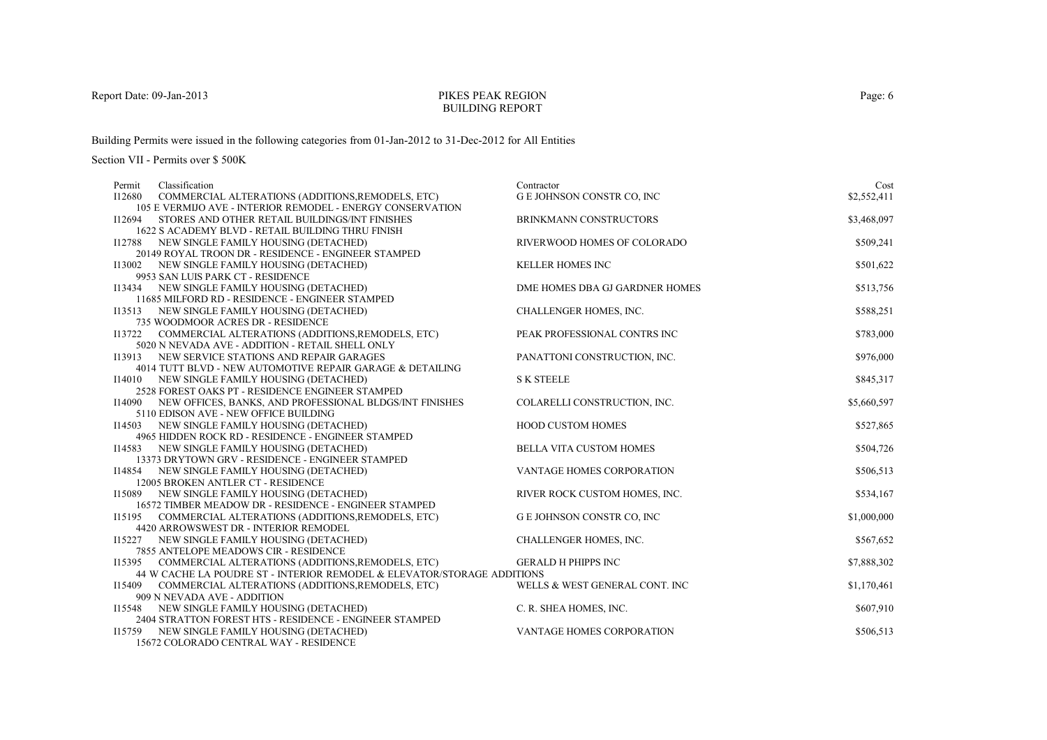# PIKES PEAK REGIONBUILDING REPORT

Building Permits were issued in the following categories from 01-Jan-2012 to 31-Dec-2012 for All Entities

| Classification<br>Permit                                                                                | Contractor                        | Cost        |
|---------------------------------------------------------------------------------------------------------|-----------------------------------|-------------|
| I12680<br>COMMERCIAL ALTERATIONS (ADDITIONS, REMODELS, ETC)                                             | <b>G E JOHNSON CONSTR CO, INC</b> | \$2,552,411 |
| 105 E VERMIJO AVE - INTERIOR REMODEL - ENERGY CONSERVATION                                              |                                   |             |
| I12694 STORES AND OTHER RETAIL BUILDINGS/INT FINISHES                                                   | BRINKMANN CONSTRUCTORS            | \$3,468,097 |
| 1622 S ACADEMY BLVD - RETAIL BUILDING THRU FINISH                                                       |                                   |             |
| I12788 NEW SINGLE FAMILY HOUSING (DETACHED)                                                             | RIVERWOOD HOMES OF COLORADO       | \$509,241   |
| 20149 ROYAL TROON DR - RESIDENCE - ENGINEER STAMPED                                                     |                                   |             |
| 113002 NEW SINGLE FAMILY HOUSING (DETACHED)                                                             | <b>KELLER HOMES INC</b>           | \$501,622   |
| 9953 SAN LUIS PARK CT - RESIDENCE                                                                       |                                   |             |
| 113434 NEW SINGLE FAMILY HOUSING (DETACHED)                                                             | DME HOMES DBA GJ GARDNER HOMES    | \$513,756   |
| 11685 MILFORD RD - RESIDENCE - ENGINEER STAMPED                                                         |                                   |             |
| 113513 NEW SINGLE FAMILY HOUSING (DETACHED)                                                             | CHALLENGER HOMES, INC.            | \$588,251   |
| 735 WOODMOOR ACRES DR - RESIDENCE                                                                       |                                   |             |
| I13722 COMMERCIAL ALTERATIONS (ADDITIONS, REMODELS, ETC)                                                | PEAK PROFESSIONAL CONTRS INC      | \$783,000   |
| 5020 N NEVADA AVE - ADDITION - RETAIL SHELL ONLY                                                        |                                   |             |
| NEW SERVICE STATIONS AND REPAIR GARAGES<br>113913                                                       | PANATTONI CONSTRUCTION, INC.      | \$976,000   |
| 4014 TUTT BLVD - NEW AUTOMOTIVE REPAIR GARAGE & DETAILING                                               |                                   |             |
| I14010 NEW SINGLE FAMILY HOUSING (DETACHED)                                                             | <b>S K STEELE</b>                 | \$845,317   |
| 2528 FOREST OAKS PT - RESIDENCE ENGINEER STAMPED                                                        |                                   |             |
| 114090 NEW OFFICES, BANKS, AND PROFESSIONAL BLDGS/INT FINISHES<br>5110 EDISON AVE - NEW OFFICE BUILDING | COLARELLI CONSTRUCTION, INC.      | \$5,660,597 |
| I14503<br>NEW SINGLE FAMILY HOUSING (DETACHED)                                                          | <b>HOOD CUSTOM HOMES</b>          | \$527,865   |
| 4965 HIDDEN ROCK RD - RESIDENCE - ENGINEER STAMPED                                                      |                                   |             |
| NEW SINGLE FAMILY HOUSING (DETACHED)<br>I14583                                                          | <b>BELLA VITA CUSTOM HOMES</b>    | \$504,726   |
| 13373 DRYTOWN GRV - RESIDENCE - ENGINEER STAMPED                                                        |                                   |             |
| I14854 NEW SINGLE FAMILY HOUSING (DETACHED)                                                             | <b>VANTAGE HOMES CORPORATION</b>  | \$506,513   |
| 12005 BROKEN ANTLER CT - RESIDENCE                                                                      |                                   |             |
| I15089 NEW SINGLE FAMILY HOUSING (DETACHED)                                                             | RIVER ROCK CUSTOM HOMES, INC.     | \$534,167   |
| 16572 TIMBER MEADOW DR - RESIDENCE - ENGINEER STAMPED                                                   |                                   |             |
| I15195 COMMERCIAL ALTERATIONS (ADDITIONS, REMODELS, ETC)                                                | G E JOHNSON CONSTR CO, INC        | \$1,000,000 |
| 4420 ARROWSWEST DR - INTERIOR REMODEL                                                                   |                                   |             |
| 115227 NEW SINGLE FAMILY HOUSING (DETACHED)                                                             | CHALLENGER HOMES, INC.            | \$567,652   |
| 7855 ANTELOPE MEADOWS CIR - RESIDENCE                                                                   |                                   |             |
| COMMERCIAL ALTERATIONS (ADDITIONS, REMODELS, ETC)<br>I15395                                             | <b>GERALD H PHIPPS INC</b>        | \$7,888,302 |
| 44 W CACHE LA POUDRE ST - INTERIOR REMODEL & ELEVATOR/STORAGE ADDITIONS                                 |                                   |             |
| I15409 COMMERCIAL ALTERATIONS (ADDITIONS, REMODELS, ETC)                                                | WELLS & WEST GENERAL CONT. INC    | \$1,170,461 |
| 909 N NEVADA AVE - ADDITION                                                                             |                                   |             |
| 115548 NEW SINGLE FAMILY HOUSING (DETACHED)                                                             | C. R. SHEA HOMES, INC.            | \$607,910   |
| 2404 STRATTON FOREST HTS - RESIDENCE - ENGINEER STAMPED                                                 |                                   |             |
| 115759 NEW SINGLE FAMILY HOUSING (DETACHED)                                                             | VANTAGE HOMES CORPORATION         | \$506,513   |
| 15672 COLORADO CENTRAL WAY - RESIDENCE                                                                  |                                   |             |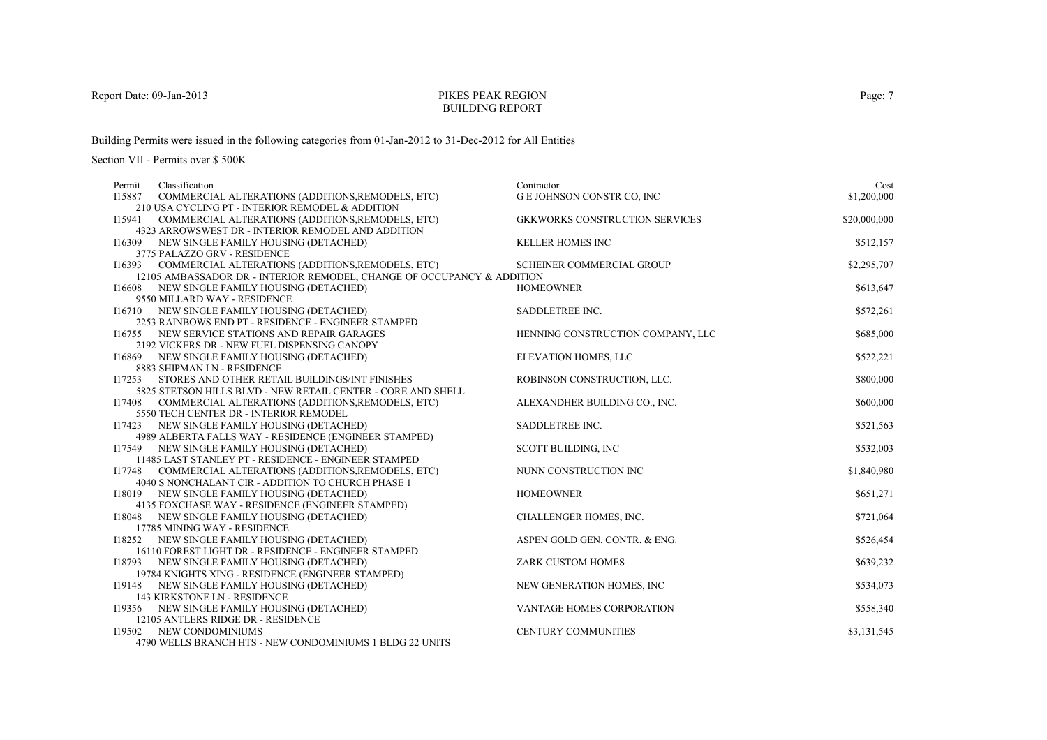# PIKES PEAK REGIONBUILDING REPORT

Building Permits were issued in the following categories from 01-Jan-2012 to 31-Dec-2012 for All Entities

| Classification<br>Permit |                                                                               | Contractor                            | Cost         |
|--------------------------|-------------------------------------------------------------------------------|---------------------------------------|--------------|
|                          | I15887 COMMERCIAL ALTERATIONS (ADDITIONS, REMODELS, ETC)                      | G E JOHNSON CONSTR CO, INC            | \$1,200,000  |
|                          | 210 USA CYCLING PT - INTERIOR REMODEL & ADDITION                              |                                       |              |
|                          | 115941 COMMERCIAL ALTERATIONS (ADDITIONS, REMODELS, ETC)                      | <b>GKKWORKS CONSTRUCTION SERVICES</b> | \$20,000,000 |
|                          | 4323 ARROWSWEST DR - INTERIOR REMODEL AND ADDITION                            |                                       |              |
| I16309                   | NEW SINGLE FAMILY HOUSING (DETACHED)                                          | <b>KELLER HOMES INC</b>               | \$512,157    |
|                          | 3775 PALAZZO GRV - RESIDENCE                                                  |                                       |              |
| I16393                   | COMMERCIAL ALTERATIONS (ADDITIONS, REMODELS, ETC)                             | <b>SCHEINER COMMERCIAL GROUP</b>      | \$2,295,707  |
|                          | 12105 AMBASSADOR DR - INTERIOR REMODEL, CHANGE OF OCCUPANCY & ADDITION        |                                       |              |
|                          | 116608 NEW SINGLE FAMILY HOUSING (DETACHED)                                   | <b>HOMEOWNER</b>                      | \$613,647    |
|                          | 9550 MILLARD WAY - RESIDENCE                                                  |                                       |              |
|                          | 116710 NEW SINGLE FAMILY HOUSING (DETACHED)                                   | SADDLETREE INC.                       | \$572,261    |
|                          | 2253 RAINBOWS END PT - RESIDENCE - ENGINEER STAMPED                           |                                       |              |
|                          | 116755 NEW SERVICE STATIONS AND REPAIR GARAGES                                | HENNING CONSTRUCTION COMPANY, LLC     | \$685,000    |
|                          | 2192 VICKERS DR - NEW FUEL DISPENSING CANOPY                                  |                                       |              |
|                          | 116869 NEW SINGLE FAMILY HOUSING (DETACHED)                                   | ELEVATION HOMES, LLC                  | \$522,221    |
| I17253                   | 8883 SHIPMAN LN - RESIDENCE<br>STORES AND OTHER RETAIL BUILDINGS/INT FINISHES | ROBINSON CONSTRUCTION, LLC.           |              |
|                          | 5825 STETSON HILLS BLVD - NEW RETAIL CENTER - CORE AND SHELL                  |                                       | \$800,000    |
| I17408                   | COMMERCIAL ALTERATIONS (ADDITIONS, REMODELS, ETC)                             | ALEXANDHER BUILDING CO., INC.         | \$600,000    |
|                          | 5550 TECH CENTER DR - INTERIOR REMODEL                                        |                                       |              |
|                          | I17423 NEW SINGLE FAMILY HOUSING (DETACHED)                                   | SADDLETREE INC.                       | \$521,563    |
|                          | 4989 ALBERTA FALLS WAY - RESIDENCE (ENGINEER STAMPED)                         |                                       |              |
|                          | 117549 NEW SINGLE FAMILY HOUSING (DETACHED)                                   | <b>SCOTT BUILDING, INC</b>            | \$532,003    |
|                          | 11485 LAST STANLEY PT - RESIDENCE - ENGINEER STAMPED                          |                                       |              |
|                          | 117748 COMMERCIAL ALTERATIONS (ADDITIONS, REMODELS, ETC)                      | NUNN CONSTRUCTION INC                 | \$1,840,980  |
|                          | 4040 S NONCHALANT CIR - ADDITION TO CHURCH PHASE 1                            |                                       |              |
|                          | I18019 NEW SINGLE FAMILY HOUSING (DETACHED)                                   | <b>HOMEOWNER</b>                      | \$651,271    |
|                          | 4135 FOXCHASE WAY - RESIDENCE (ENGINEER STAMPED)                              |                                       |              |
|                          | 118048 NEW SINGLE FAMILY HOUSING (DETACHED)                                   | CHALLENGER HOMES, INC.                | \$721,064    |
|                          | 17785 MINING WAY - RESIDENCE                                                  |                                       |              |
|                          | 118252 NEW SINGLE FAMILY HOUSING (DETACHED)                                   | ASPEN GOLD GEN. CONTR. & ENG.         | \$526,454    |
|                          | 16110 FOREST LIGHT DR - RESIDENCE - ENGINEER STAMPED                          |                                       |              |
|                          | 118793 NEW SINGLE FAMILY HOUSING (DETACHED)                                   | ZARK CUSTOM HOMES                     | \$639,232    |
|                          | 19784 KNIGHTS XING - RESIDENCE (ENGINEER STAMPED)                             |                                       |              |
| I19148                   | NEW SINGLE FAMILY HOUSING (DETACHED)                                          | NEW GENERATION HOMES, INC             | \$534,073    |
|                          | <b>143 KIRKSTONE LN - RESIDENCE</b>                                           |                                       |              |
|                          | 119356 NEW SINGLE FAMILY HOUSING (DETACHED)                                   | VANTAGE HOMES CORPORATION             | \$558,340    |
|                          | 12105 ANTLERS RIDGE DR - RESIDENCE                                            |                                       |              |
| I19502 NEW CONDOMINIUMS  |                                                                               | <b>CENTURY COMMUNITIES</b>            | \$3,131,545  |
|                          | 4790 WELLS BRANCH HTS - NEW CONDOMINIUMS 1 BLDG 22 UNITS                      |                                       |              |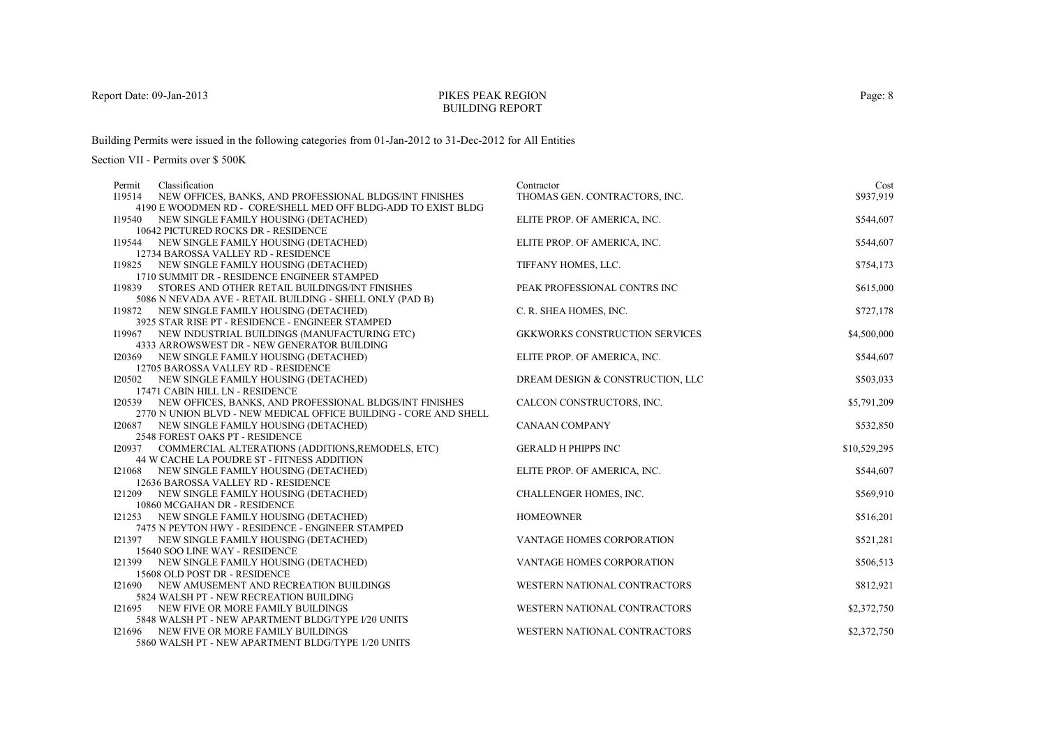# PIKES PEAK REGIONBUILDING REPORT

Building Permits were issued in the following categories from 01-Jan-2012 to 31-Dec-2012 for All Entities

| Classification<br>Permit                                                       | Contractor                            | Cost         |
|--------------------------------------------------------------------------------|---------------------------------------|--------------|
| I19514<br>NEW OFFICES, BANKS, AND PROFESSIONAL BLDGS/INT FINISHES              | THOMAS GEN. CONTRACTORS, INC.         | \$937,919    |
| 4190 E WOODMEN RD - CORE/SHELL MED OFF BLDG-ADD TO EXIST BLDG                  |                                       |              |
| 119540 NEW SINGLE FAMILY HOUSING (DETACHED)                                    | ELITE PROP. OF AMERICA, INC.          | \$544,607    |
| 10642 PICTURED ROCKS DR - RESIDENCE                                            |                                       |              |
| 119544 NEW SINGLE FAMILY HOUSING (DETACHED)                                    | ELITE PROP. OF AMERICA, INC.          | \$544,607    |
| 12734 BAROSSA VALLEY RD - RESIDENCE                                            |                                       |              |
| 119825 NEW SINGLE FAMILY HOUSING (DETACHED)                                    | TIFFANY HOMES, LLC.                   | \$754,173    |
| 1710 SUMMIT DR - RESIDENCE ENGINEER STAMPED                                    |                                       |              |
| I19839<br>STORES AND OTHER RETAIL BUILDINGS/INT FINISHES                       | PEAK PROFESSIONAL CONTRS INC          | \$615,000    |
| 5086 N NEVADA AVE - RETAIL BUILDING - SHELL ONLY (PAD B)                       |                                       |              |
| 119872 NEW SINGLE FAMILY HOUSING (DETACHED)                                    | C. R. SHEA HOMES, INC.                | \$727,178    |
| 3925 STAR RISE PT - RESIDENCE - ENGINEER STAMPED                               |                                       |              |
| I19967 NEW INDUSTRIAL BUILDINGS (MANUFACTURING ETC)                            | <b>GKKWORKS CONSTRUCTION SERVICES</b> | \$4,500,000  |
| 4333 ARROWSWEST DR - NEW GENERATOR BUILDING                                    |                                       |              |
| I20369 NEW SINGLE FAMILY HOUSING (DETACHED)                                    | ELITE PROP. OF AMERICA, INC.          | \$544,607    |
| 12705 BAROSSA VALLEY RD - RESIDENCE                                            |                                       |              |
| I20502 NEW SINGLE FAMILY HOUSING (DETACHED)<br>17471 CABIN HILL LN - RESIDENCE | DREAM DESIGN & CONSTRUCTION, LLC      | \$503,033    |
| 120539 NEW OFFICES, BANKS, AND PROFESSIONAL BLDGS/INT FINISHES                 | CALCON CONSTRUCTORS, INC.             | \$5,791,209  |
| 2770 N UNION BLVD - NEW MEDICAL OFFICE BUILDING - CORE AND SHELL               |                                       |              |
| NEW SINGLE FAMILY HOUSING (DETACHED)<br>I20687                                 | <b>CANAAN COMPANY</b>                 | \$532,850    |
| 2548 FOREST OAKS PT - RESIDENCE                                                |                                       |              |
| I20937 COMMERCIAL ALTERATIONS (ADDITIONS, REMODELS, ETC)                       | <b>GERALD H PHIPPS INC</b>            | \$10,529,295 |
| 44 W CACHE LA POUDRE ST - FITNESS ADDITION                                     |                                       |              |
| I21068 NEW SINGLE FAMILY HOUSING (DETACHED)                                    | ELITE PROP. OF AMERICA, INC.          | \$544,607    |
| 12636 BAROSSA VALLEY RD - RESIDENCE                                            |                                       |              |
| I21209 NEW SINGLE FAMILY HOUSING (DETACHED)                                    | <b>CHALLENGER HOMES, INC.</b>         | \$569,910    |
| 10860 MCGAHAN DR - RESIDENCE                                                   |                                       |              |
| I21253 NEW SINGLE FAMILY HOUSING (DETACHED)                                    | <b>HOMEOWNER</b>                      | \$516,201    |
| 7475 N PEYTON HWY - RESIDENCE - ENGINEER STAMPED                               |                                       |              |
| I21397 NEW SINGLE FAMILY HOUSING (DETACHED)                                    | VANTAGE HOMES CORPORATION             | \$521,281    |
| 15640 SOO LINE WAY - RESIDENCE                                                 |                                       |              |
| I21399 NEW SINGLE FAMILY HOUSING (DETACHED)                                    | VANTAGE HOMES CORPORATION             | \$506,513    |
| 15608 OLD POST DR - RESIDENCE                                                  |                                       |              |
| I21690 NEW AMUSEMENT AND RECREATION BUILDINGS                                  | WESTERN NATIONAL CONTRACTORS          | \$812,921    |
| 5824 WALSH PT - NEW RECREATION BUILDING                                        |                                       |              |
| I21695 NEW FIVE OR MORE FAMILY BUILDINGS                                       | WESTERN NATIONAL CONTRACTORS          | \$2,372,750  |
| 5848 WALSH PT - NEW APARTMENT BLDG/TYPE I/20 UNITS                             |                                       |              |
| 121696 NEW FIVE OR MORE FAMILY BUILDINGS                                       | WESTERN NATIONAL CONTRACTORS          | \$2,372,750  |
| 5860 WALSH PT - NEW APARTMENT BLDG/TYPE 1/20 UNITS                             |                                       |              |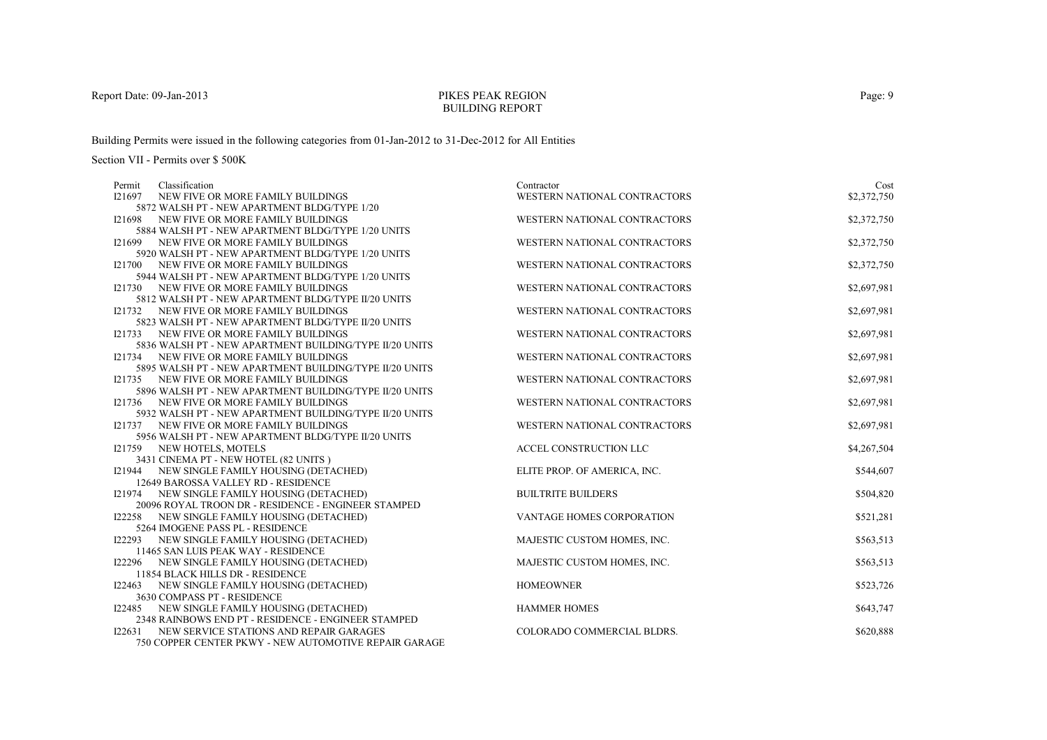# PIKES PEAK REGIONBUILDING REPORT

Building Permits were issued in the following categories from 01-Jan-2012 to 31-Dec-2012 for All Entities

| Classification<br>Permit                                | Contractor                       | Cost        |
|---------------------------------------------------------|----------------------------------|-------------|
| I21697<br>NEW FIVE OR MORE FAMILY BUILDINGS             | WESTERN NATIONAL CONTRACTORS     | \$2,372,750 |
| 5872 WALSH PT - NEW APARTMENT BLDG/TYPE 1/20            |                                  |             |
| I21698<br>NEW FIVE OR MORE FAMILY BUILDINGS             | WESTERN NATIONAL CONTRACTORS     | \$2,372,750 |
| 5884 WALSH PT - NEW APARTMENT BLDG/TYPE 1/20 UNITS      |                                  |             |
| I21699 NEW FIVE OR MORE FAMILY BUILDINGS                | WESTERN NATIONAL CONTRACTORS     | \$2,372,750 |
| 5920 WALSH PT - NEW APARTMENT BLDG/TYPE 1/20 UNITS      |                                  |             |
| 121700 NEW FIVE OR MORE FAMILY BUILDINGS                | WESTERN NATIONAL CONTRACTORS     | \$2,372,750 |
| 5944 WALSH PT - NEW APARTMENT BLDG/TYPE 1/20 UNITS      |                                  |             |
| NEW FIVE OR MORE FAMILY BUILDINGS<br>121730             | WESTERN NATIONAL CONTRACTORS     | \$2,697,981 |
| 5812 WALSH PT - NEW APARTMENT BLDG/TYPE II/20 UNITS     |                                  |             |
| 121732 NEW FIVE OR MORE FAMILY BUILDINGS                | WESTERN NATIONAL CONTRACTORS     | \$2,697,981 |
| 5823 WALSH PT - NEW APARTMENT BLDG/TYPE II/20 UNITS     |                                  |             |
| 121733 NEW FIVE OR MORE FAMILY BUILDINGS                | WESTERN NATIONAL CONTRACTORS     | \$2,697,981 |
| 5836 WALSH PT - NEW APARTMENT BUILDING/TYPE II/20 UNITS |                                  |             |
| 121734 NEW FIVE OR MORE FAMILY BUILDINGS                | WESTERN NATIONAL CONTRACTORS     | \$2,697,981 |
| 5895 WALSH PT - NEW APARTMENT BUILDING/TYPE II/20 UNITS |                                  |             |
| 121735 NEW FIVE OR MORE FAMILY BUILDINGS                | WESTERN NATIONAL CONTRACTORS     | \$2,697,981 |
| 5896 WALSH PT - NEW APARTMENT BUILDING/TYPE II/20 UNITS |                                  |             |
| 121736 NEW FIVE OR MORE FAMILY BUILDINGS                | WESTERN NATIONAL CONTRACTORS     | \$2,697,981 |
| 5932 WALSH PT - NEW APARTMENT BUILDING/TYPE II/20 UNITS |                                  |             |
| <b>I21737 NEW FIVE OR MORE FAMILY BUILDINGS</b>         | WESTERN NATIONAL CONTRACTORS     | \$2,697,981 |
| 5956 WALSH PT - NEW APARTMENT BLDG/TYPE II/20 UNITS     |                                  |             |
| I21759 NEW HOTELS, MOTELS                               | ACCEL CONSTRUCTION LLC           | \$4,267,504 |
| 3431 CINEMA PT - NEW HOTEL (82 UNITS)                   |                                  |             |
| I21944 NEW SINGLE FAMILY HOUSING (DETACHED)             | ELITE PROP. OF AMERICA, INC.     | \$544,607   |
| 12649 BAROSSA VALLEY RD - RESIDENCE                     |                                  |             |
| I21974 NEW SINGLE FAMILY HOUSING (DETACHED)             | <b>BUILTRITE BUILDERS</b>        | \$504,820   |
| 20096 ROYAL TROON DR - RESIDENCE - ENGINEER STAMPED     |                                  |             |
| I22258 NEW SINGLE FAMILY HOUSING (DETACHED)             | <b>VANTAGE HOMES CORPORATION</b> | \$521,281   |
| 5264 IMOGENE PASS PL - RESIDENCE                        |                                  |             |
| I22293 NEW SINGLE FAMILY HOUSING (DETACHED)             | MAJESTIC CUSTOM HOMES, INC.      | \$563,513   |
| 11465 SAN LUIS PEAK WAY - RESIDENCE                     |                                  |             |
| I22296 NEW SINGLE FAMILY HOUSING (DETACHED)             | MAJESTIC CUSTOM HOMES, INC.      | \$563,513   |
| 11854 BLACK HILLS DR - RESIDENCE                        |                                  |             |
| I22463 NEW SINGLE FAMILY HOUSING (DETACHED)             | <b>HOMEOWNER</b>                 | \$523,726   |
| 3630 COMPASS PT - RESIDENCE                             |                                  |             |
| I22485 NEW SINGLE FAMILY HOUSING (DETACHED)             | <b>HAMMER HOMES</b>              | \$643,747   |
| 2348 RAINBOWS END PT - RESIDENCE - ENGINEER STAMPED     |                                  |             |
| <b>I22631 NEW SERVICE STATIONS AND REPAIR GARAGES</b>   | COLORADO COMMERCIAL BLDRS.       | \$620,888   |
| 750 COPPER CENTER PKWY - NEW AUTOMOTIVE REPAIR GARAGE   |                                  |             |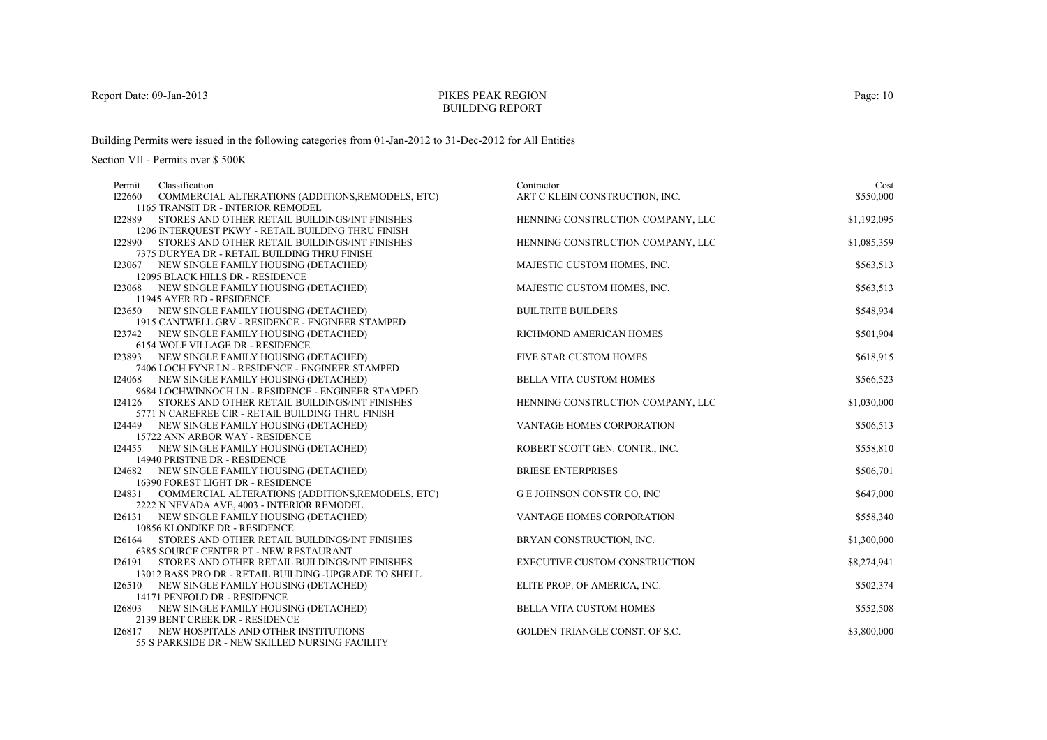# PIKES PEAK REGIONBUILDING REPORT

Building Permits were issued in the following categories from 01-Jan-2012 to 31-Dec-2012 for All Entities

| Classification<br>Permit                                                                  | Contractor                            | Cost        |
|-------------------------------------------------------------------------------------------|---------------------------------------|-------------|
| COMMERCIAL ALTERATIONS (ADDITIONS, REMODELS, ETC)<br><b>I22660</b>                        | ART C KLEIN CONSTRUCTION, INC.        | \$550,000   |
| 1165 TRANSIT DR - INTERIOR REMODEL                                                        |                                       |             |
| STORES AND OTHER RETAIL BUILDINGS/INT FINISHES<br>I22889                                  | HENNING CONSTRUCTION COMPANY, LLC     | \$1,192,095 |
| 1206 INTERQUEST PKWY - RETAIL BUILDING THRU FINISH                                        |                                       |             |
| STORES AND OTHER RETAIL BUILDINGS/INT FINISHES<br>122890                                  | HENNING CONSTRUCTION COMPANY, LLC     | \$1,085,359 |
| 7375 DURYEA DR - RETAIL BUILDING THRU FINISH                                              |                                       |             |
| 123067 NEW SINGLE FAMILY HOUSING (DETACHED)                                               | MAJESTIC CUSTOM HOMES, INC.           | \$563,513   |
| 12095 BLACK HILLS DR - RESIDENCE                                                          |                                       |             |
| I23068 NEW SINGLE FAMILY HOUSING (DETACHED)                                               | MAJESTIC CUSTOM HOMES, INC.           | \$563,513   |
| 11945 AYER RD - RESIDENCE                                                                 |                                       |             |
| I23650 NEW SINGLE FAMILY HOUSING (DETACHED)                                               | <b>BUILTRITE BUILDERS</b>             | \$548,934   |
| 1915 CANTWELL GRV - RESIDENCE - ENGINEER STAMPED                                          |                                       |             |
| 123742 NEW SINGLE FAMILY HOUSING (DETACHED)                                               | RICHMOND AMERICAN HOMES               | \$501,904   |
| <b>6154 WOLF VILLAGE DR - RESIDENCE</b>                                                   |                                       |             |
| 123893 NEW SINGLE FAMILY HOUSING (DETACHED)                                               | <b>FIVE STAR CUSTOM HOMES</b>         | \$618,915   |
| 7406 LOCH FYNE LN - RESIDENCE - ENGINEER STAMPED                                          |                                       |             |
| I24068 NEW SINGLE FAMILY HOUSING (DETACHED)                                               | BELLA VITA CUSTOM HOMES               | \$566,523   |
| 9684 LOCHWINNOCH LN - RESIDENCE - ENGINEER STAMPED                                        |                                       |             |
| I24126 STORES AND OTHER RETAIL BUILDINGS/INT FINISHES                                     | HENNING CONSTRUCTION COMPANY, LLC     | \$1,030,000 |
| 5771 N CAREFREE CIR - RETAIL BUILDING THRU FINISH                                         |                                       |             |
| I24449 NEW SINGLE FAMILY HOUSING (DETACHED)                                               | <b>VANTAGE HOMES CORPORATION</b>      | \$506,513   |
| 15722 ANN ARBOR WAY - RESIDENCE                                                           |                                       |             |
| I24455 NEW SINGLE FAMILY HOUSING (DETACHED)                                               | ROBERT SCOTT GEN. CONTR., INC.        | \$558,810   |
| 14940 PRISTINE DR - RESIDENCE                                                             |                                       |             |
| NEW SINGLE FAMILY HOUSING (DETACHED)<br>I24682                                            | <b>BRIESE ENTERPRISES</b>             | \$506,701   |
| 16390 FOREST LIGHT DR - RESIDENCE                                                         |                                       |             |
| I24831 COMMERCIAL ALTERATIONS (ADDITIONS, REMODELS, ETC)                                  | G E JOHNSON CONSTR CO, INC            | \$647,000   |
| 2222 N NEVADA AVE, 4003 - INTERIOR REMODEL                                                | VANTAGE HOMES CORPORATION             |             |
| 126131 NEW SINGLE FAMILY HOUSING (DETACHED)                                               |                                       | \$558,340   |
| 10856 KLONDIKE DR - RESIDENCE<br>STORES AND OTHER RETAIL BUILDINGS/INT FINISHES<br>I26164 | BRYAN CONSTRUCTION, INC.              | \$1,300,000 |
| 6385 SOURCE CENTER PT - NEW RESTAURANT                                                    |                                       |             |
| STORES AND OTHER RETAIL BUILDINGS/INT FINISHES<br>I26191                                  | <b>EXECUTIVE CUSTOM CONSTRUCTION</b>  | \$8,274,941 |
| 13012 BASS PRO DR - RETAIL BUILDING -UPGRADE TO SHELL                                     |                                       |             |
| NEW SINGLE FAMILY HOUSING (DETACHED)<br>126510                                            | ELITE PROP. OF AMERICA, INC.          | \$502,374   |
| 14171 PENFOLD DR - RESIDENCE                                                              |                                       |             |
| NEW SINGLE FAMILY HOUSING (DETACHED)<br>I26803                                            | <b>BELLA VITA CUSTOM HOMES</b>        | \$552,508   |
| 2139 BENT CREEK DR - RESIDENCE                                                            |                                       |             |
| 126817 NEW HOSPITALS AND OTHER INSTITUTIONS                                               | <b>GOLDEN TRIANGLE CONST. OF S.C.</b> | \$3,800,000 |
| 55 S PARKSIDE DR - NEW SKILLED NURSING FACILITY                                           |                                       |             |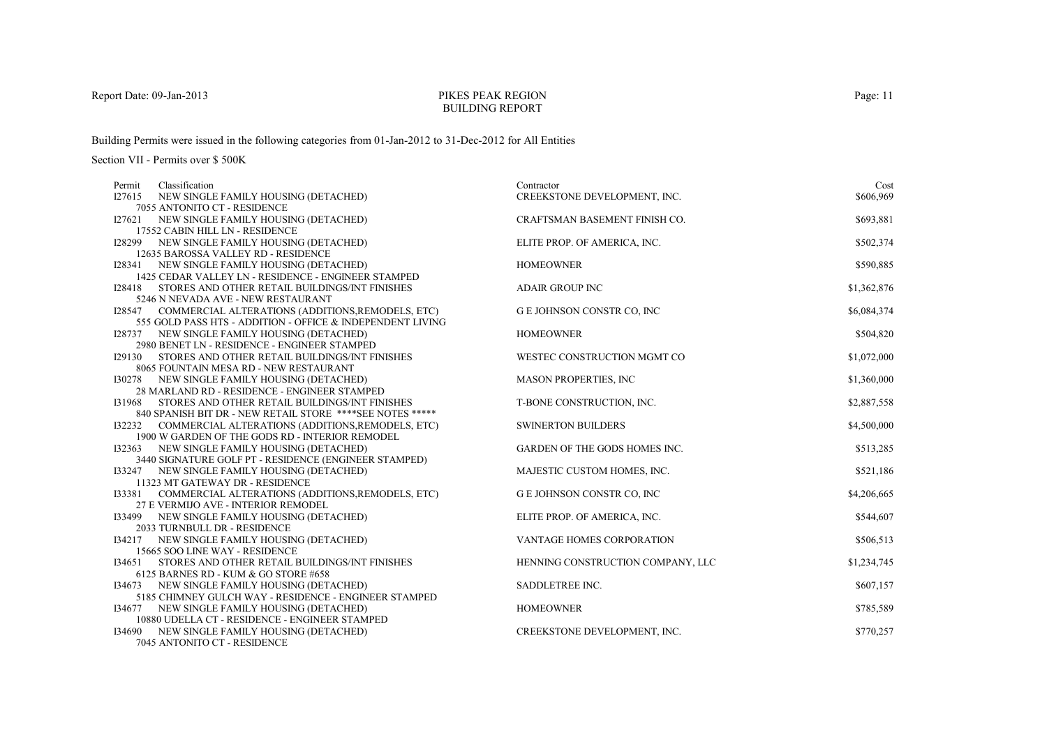# PIKES PEAK REGIONBUILDING REPORT

Building Permits were issued in the following categories from 01-Jan-2012 to 31-Dec-2012 for All Entities

| Permit | Classification                                                                                 | Contractor                        | Cost        |
|--------|------------------------------------------------------------------------------------------------|-----------------------------------|-------------|
| I27615 | NEW SINGLE FAMILY HOUSING (DETACHED)                                                           | CREEKSTONE DEVELOPMENT, INC.      | \$606,969   |
|        | 7055 ANTONITO CT - RESIDENCE                                                                   |                                   |             |
| I27621 | NEW SINGLE FAMILY HOUSING (DETACHED)                                                           | CRAFTSMAN BASEMENT FINISH CO.     | \$693,881   |
|        | 17552 CABIN HILL LN - RESIDENCE                                                                |                                   |             |
|        | 128299 NEW SINGLE FAMILY HOUSING (DETACHED)                                                    | ELITE PROP. OF AMERICA, INC.      | \$502,374   |
|        | 12635 BAROSSA VALLEY RD - RESIDENCE                                                            |                                   |             |
| I28341 | NEW SINGLE FAMILY HOUSING (DETACHED)                                                           | <b>HOMEOWNER</b>                  | \$590,885   |
|        | 1425 CEDAR VALLEY LN - RESIDENCE - ENGINEER STAMPED                                            |                                   |             |
| 128418 | STORES AND OTHER RETAIL BUILDINGS/INT FINISHES                                                 | <b>ADAIR GROUP INC</b>            | \$1,362,876 |
|        | 5246 N NEVADA AVE - NEW RESTAURANT                                                             |                                   |             |
|        | 128547 COMMERCIAL ALTERATIONS (ADDITIONS, REMODELS, ETC)                                       | <b>GE JOHNSON CONSTR CO, INC</b>  | \$6,084,374 |
|        | 555 GOLD PASS HTS - ADDITION - OFFICE & INDEPENDENT LIVING                                     |                                   |             |
|        | 128737 NEW SINGLE FAMILY HOUSING (DETACHED)                                                    | <b>HOMEOWNER</b>                  | \$504,820   |
|        | 2980 BENET LN - RESIDENCE - ENGINEER STAMPED                                                   |                                   |             |
| 129130 | STORES AND OTHER RETAIL BUILDINGS/INT FINISHES                                                 | WESTEC CONSTRUCTION MGMT CO       | \$1,072,000 |
|        | 8065 FOUNTAIN MESA RD - NEW RESTAURANT                                                         |                                   |             |
|        | 130278 NEW SINGLE FAMILY HOUSING (DETACHED)                                                    | <b>MASON PROPERTIES, INC</b>      | \$1,360,000 |
| 131968 | 28 MARLAND RD - RESIDENCE - ENGINEER STAMPED<br>STORES AND OTHER RETAIL BUILDINGS/INT FINISHES | T-BONE CONSTRUCTION, INC.         |             |
|        | 840 SPANISH BIT DR - NEW RETAIL STORE ****SEE NOTES *****                                      |                                   | \$2,887,558 |
| 132232 | COMMERCIAL ALTERATIONS (ADDITIONS, REMODELS, ETC)                                              | <b>SWINERTON BUILDERS</b>         | \$4,500,000 |
|        | 1900 W GARDEN OF THE GODS RD - INTERIOR REMODEL                                                |                                   |             |
| 132363 | NEW SINGLE FAMILY HOUSING (DETACHED)                                                           | GARDEN OF THE GODS HOMES INC.     | \$513,285   |
|        | 3440 SIGNATURE GOLF PT - RESIDENCE (ENGINEER STAMPED)                                          |                                   |             |
|        | 133247 NEW SINGLE FAMILY HOUSING (DETACHED)                                                    | MAJESTIC CUSTOM HOMES, INC.       | \$521,186   |
|        | 11323 MT GATEWAY DR - RESIDENCE                                                                |                                   |             |
|        | I33381 COMMERCIAL ALTERATIONS (ADDITIONS, REMODELS, ETC)                                       | <b>G E JOHNSON CONSTR CO, INC</b> | \$4,206,665 |
|        | 27 E VERMIJO AVE - INTERIOR REMODEL                                                            |                                   |             |
|        | 133499 NEW SINGLE FAMILY HOUSING (DETACHED)                                                    | ELITE PROP. OF AMERICA, INC.      | \$544,607   |
|        | 2033 TURNBULL DR - RESIDENCE                                                                   |                                   |             |
|        | 134217 NEW SINGLE FAMILY HOUSING (DETACHED)                                                    | <b>VANTAGE HOMES CORPORATION</b>  | \$506,513   |
|        | 15665 SOO LINE WAY - RESIDENCE                                                                 |                                   |             |
| 134651 | STORES AND OTHER RETAIL BUILDINGS/INT FINISHES                                                 | HENNING CONSTRUCTION COMPANY, LLC | \$1,234,745 |
|        | 6125 BARNES RD - KUM & GO STORE #658                                                           |                                   |             |
| 134673 | NEW SINGLE FAMILY HOUSING (DETACHED)                                                           | SADDLETREE INC.                   | \$607,157   |
|        | 5185 CHIMNEY GULCH WAY - RESIDENCE - ENGINEER STAMPED                                          |                                   |             |
|        | I34677 NEW SINGLE FAMILY HOUSING (DETACHED)                                                    | <b>HOMEOWNER</b>                  | \$785,589   |
|        | 10880 UDELLA CT - RESIDENCE - ENGINEER STAMPED                                                 |                                   |             |
|        | 134690 NEW SINGLE FAMILY HOUSING (DETACHED)                                                    | CREEKSTONE DEVELOPMENT, INC.      | \$770,257   |
|        | 7045 ANTONITO CT - RESIDENCE                                                                   |                                   |             |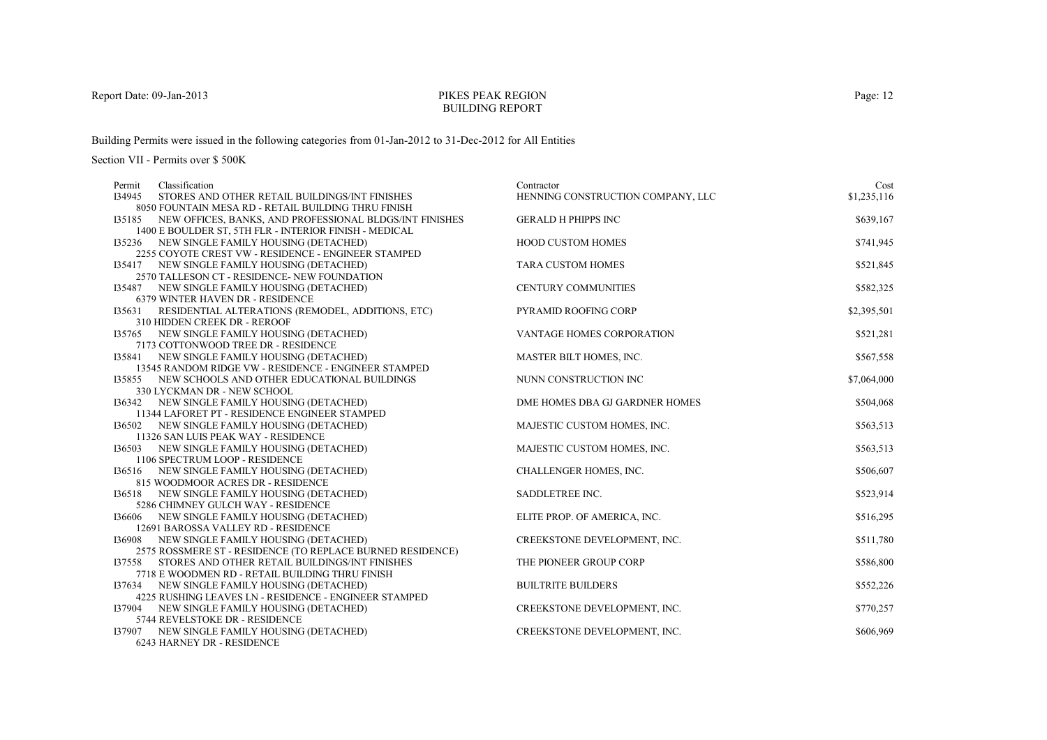# PIKES PEAK REGIONBUILDING REPORT

Building Permits were issued in the following categories from 01-Jan-2012 to 31-Dec-2012 for All Entities

| Classification<br>Permit                                                         | Contractor                        | Cost        |
|----------------------------------------------------------------------------------|-----------------------------------|-------------|
| 134945<br>STORES AND OTHER RETAIL BUILDINGS/INT FINISHES                         | HENNING CONSTRUCTION COMPANY, LLC | \$1,235,116 |
| 8050 FOUNTAIN MESA RD - RETAIL BUILDING THRU FINISH                              |                                   |             |
| 135185 NEW OFFICES, BANKS, AND PROFESSIONAL BLDGS/INT FINISHES                   | <b>GERALD H PHIPPS INC</b>        | \$639,167   |
| 1400 E BOULDER ST, 5TH FLR - INTERIOR FINISH - MEDICAL                           |                                   |             |
| 135236 NEW SINGLE FAMILY HOUSING (DETACHED)                                      | <b>HOOD CUSTOM HOMES</b>          | \$741,945   |
| 2255 COYOTE CREST VW - RESIDENCE - ENGINEER STAMPED                              |                                   |             |
| 135417 NEW SINGLE FAMILY HOUSING (DETACHED)                                      | <b>TARA CUSTOM HOMES</b>          | \$521,845   |
| 2570 TALLESON CT - RESIDENCE- NEW FOUNDATION                                     |                                   |             |
| 135487 NEW SINGLE FAMILY HOUSING (DETACHED)                                      | <b>CENTURY COMMUNITIES</b>        | \$582,325   |
| 6379 WINTER HAVEN DR - RESIDENCE                                                 |                                   |             |
| 135631 RESIDENTIAL ALTERATIONS (REMODEL, ADDITIONS, ETC)                         | PYRAMID ROOFING CORP              | \$2,395,501 |
| 310 HIDDEN CREEK DR - REROOF                                                     |                                   |             |
| 135765 NEW SINGLE FAMILY HOUSING (DETACHED)                                      | VANTAGE HOMES CORPORATION         | \$521,281   |
| 7173 COTTONWOOD TREE DR - RESIDENCE                                              |                                   |             |
| 135841 NEW SINGLE FAMILY HOUSING (DETACHED)                                      | MASTER BILT HOMES, INC.           | \$567,558   |
| 13545 RANDOM RIDGE VW - RESIDENCE - ENGINEER STAMPED                             |                                   |             |
| 135855 NEW SCHOOLS AND OTHER EDUCATIONAL BUILDINGS                               | NUNN CONSTRUCTION INC             | \$7,064,000 |
| 330 LYCKMAN DR - NEW SCHOOL                                                      |                                   |             |
| 136342 NEW SINGLE FAMILY HOUSING (DETACHED)                                      | DME HOMES DBA GJ GARDNER HOMES    | \$504,068   |
| 11344 LAFORET PT - RESIDENCE ENGINEER STAMPED                                    |                                   |             |
| 136502 NEW SINGLE FAMILY HOUSING (DETACHED)                                      | MAJESTIC CUSTOM HOMES, INC.       | \$563,513   |
| 11326 SAN LUIS PEAK WAY - RESIDENCE                                              |                                   |             |
| I36503 NEW SINGLE FAMILY HOUSING (DETACHED)                                      | MAJESTIC CUSTOM HOMES, INC.       | \$563,513   |
| 1106 SPECTRUM LOOP - RESIDENCE                                                   | CHALLENGER HOMES, INC.            | \$506,607   |
| 136516 NEW SINGLE FAMILY HOUSING (DETACHED)<br>815 WOODMOOR ACRES DR - RESIDENCE |                                   |             |
| 136518 NEW SINGLE FAMILY HOUSING (DETACHED)                                      | SADDLETREE INC.                   | \$523,914   |
| 5286 CHIMNEY GULCH WAY - RESIDENCE                                               |                                   |             |
| 136606 NEW SINGLE FAMILY HOUSING (DETACHED)                                      | ELITE PROP. OF AMERICA, INC.      | \$516,295   |
| 12691 BAROSSA VALLEY RD - RESIDENCE                                              |                                   |             |
| 136908 NEW SINGLE FAMILY HOUSING (DETACHED)                                      | CREEKSTONE DEVELOPMENT, INC.      | \$511,780   |
| 2575 ROSSMERE ST - RESIDENCE (TO REPLACE BURNED RESIDENCE)                       |                                   |             |
| 137558<br>STORES AND OTHER RETAIL BUILDINGS/INT FINISHES                         | THE PIONEER GROUP CORP            | \$586,800   |
| 7718 E WOODMEN RD - RETAIL BUILDING THRU FINISH                                  |                                   |             |
| 137634 NEW SINGLE FAMILY HOUSING (DETACHED)                                      | <b>BUILTRITE BUILDERS</b>         | \$552,226   |
| 4225 RUSHING LEAVES LN - RESIDENCE - ENGINEER STAMPED                            |                                   |             |
| 137904 NEW SINGLE FAMILY HOUSING (DETACHED)                                      | CREEKSTONE DEVELOPMENT, INC.      | \$770,257   |
| 5744 REVELSTOKE DR - RESIDENCE                                                   |                                   |             |
| 137907 NEW SINGLE FAMILY HOUSING (DETACHED)                                      | CREEKSTONE DEVELOPMENT, INC.      | \$606,969   |
| 6243 HARNEY DR - RESIDENCE                                                       |                                   |             |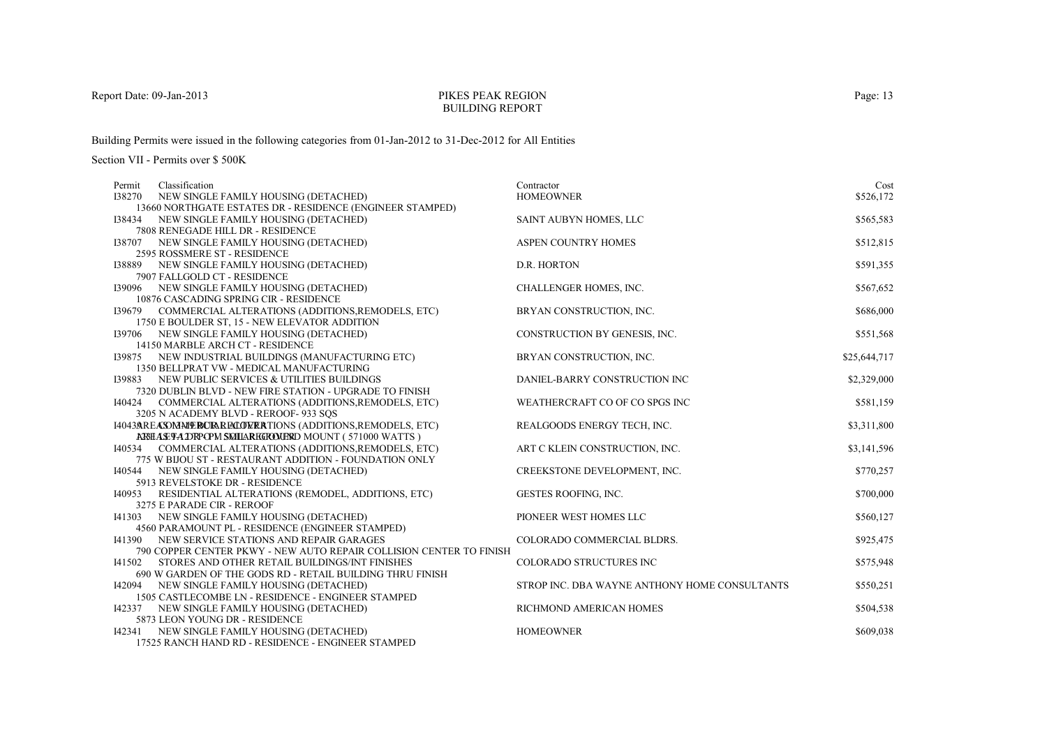### PIKES PEAK REGIONBUILDING REPORT

Building Permits were issued in the following categories from 01-Jan-2012 to 31-Dec-2012 for All Entities

| Classification<br>Permit                                                                           | Contractor                                    | Cost         |
|----------------------------------------------------------------------------------------------------|-----------------------------------------------|--------------|
| 138270<br>NEW SINGLE FAMILY HOUSING (DETACHED)                                                     | <b>HOMEOWNER</b>                              | \$526,172    |
| 13660 NORTHGATE ESTATES DR - RESIDENCE (ENGINEER STAMPED)                                          |                                               |              |
| I38434 NEW SINGLE FAMILY HOUSING (DETACHED)                                                        | SAINT AUBYN HOMES, LLC                        | \$565,583    |
| 7808 RENEGADE HILL DR - RESIDENCE                                                                  |                                               |              |
| 138707 NEW SINGLE FAMILY HOUSING (DETACHED)                                                        | ASPEN COUNTRY HOMES                           | \$512,815    |
| 2595 ROSSMERE ST - RESIDENCE                                                                       |                                               |              |
| 138889 NEW SINGLE FAMILY HOUSING (DETACHED)                                                        | D.R. HORTON                                   | \$591,355    |
| 7907 FALLGOLD CT - RESIDENCE                                                                       |                                               |              |
| 139096 NEW SINGLE FAMILY HOUSING (DETACHED)                                                        | CHALLENGER HOMES, INC.                        | \$567,652    |
| 10876 CASCADING SPRING CIR - RESIDENCE                                                             |                                               |              |
| 139679 COMMERCIAL ALTERATIONS (ADDITIONS, REMODELS, ETC)                                           | BRYAN CONSTRUCTION, INC.                      | \$686,000    |
| 1750 E BOULDER ST, 15 - NEW ELEVATOR ADDITION                                                      |                                               |              |
| 139706 NEW SINGLE FAMILY HOUSING (DETACHED)                                                        | CONSTRUCTION BY GENESIS, INC.                 | \$551,568    |
| 14150 MARBLE ARCH CT - RESIDENCE                                                                   |                                               |              |
| 139875 NEW INDUSTRIAL BUILDINGS (MANUFACTURING ETC)                                                | BRYAN CONSTRUCTION, INC.                      | \$25,644,717 |
| 1350 BELLPRAT VW - MEDICAL MANUFACTURING                                                           |                                               |              |
| 139883<br>NEW PUBLIC SERVICES & UTILITIES BUILDINGS                                                | DANIEL-BARRY CONSTRUCTION INC                 | \$2,329,000  |
| 7320 DUBLIN BLVD - NEW FIRE STATION - UPGRADE TO FINISH                                            |                                               |              |
| I40424<br>COMMERCIAL ALTERATIONS (ADDITIONS, REMODELS, ETC)                                        | WEATHERCRAFT CO OF CO SPGS INC                | \$581,159    |
| 3205 N ACADEMY BLVD - REROOF- 933 SOS                                                              |                                               |              |
| 14043AREASOMMERCIAREADERATIONS (ADDITIONS, REMODELS, ETC)                                          | REALGOODS ENERGY TECH, INC.                   | \$3,311,800  |
| ARBEASTADRPOPM SMILAREGROMERD MOUNT (571000 WATTS)                                                 |                                               |              |
| 140534 COMMERCIAL ALTERATIONS (ADDITIONS, REMODELS, ETC)                                           | ART C KLEIN CONSTRUCTION, INC.                | \$3,141,596  |
| 775 W BIJOU ST - RESTAURANT ADDITION - FOUNDATION ONLY                                             |                                               |              |
| NEW SINGLE FAMILY HOUSING (DETACHED)<br>140544                                                     | CREEKSTONE DEVELOPMENT, INC.                  | \$770,257    |
| 5913 REVELSTOKE DR - RESIDENCE                                                                     |                                               |              |
| RESIDENTIAL ALTERATIONS (REMODEL, ADDITIONS, ETC)<br>140953<br>3275 E PARADE CIR - REROOF          | <b>GESTES ROOFING, INC.</b>                   | \$700,000    |
| 141303 NEW SINGLE FAMILY HOUSING (DETACHED)                                                        | PIONEER WEST HOMES LLC                        | \$560,127    |
|                                                                                                    |                                               |              |
| 4560 PARAMOUNT PL - RESIDENCE (ENGINEER STAMPED)<br>141390 NEW SERVICE STATIONS AND REPAIR GARAGES | COLORADO COMMERCIAL BLDRS.                    | \$925,475    |
| 790 COPPER CENTER PKWY - NEW AUTO REPAIR COLLISION CENTER TO FINISH                                |                                               |              |
| STORES AND OTHER RETAIL BUILDINGS/INT FINISHES<br>I41502                                           | COLORADO STRUCTURES INC                       | \$575,948    |
| 690 W GARDEN OF THE GODS RD - RETAIL BUILDING THRU FINISH                                          |                                               |              |
| 142094<br>NEW SINGLE FAMILY HOUSING (DETACHED)                                                     | STROP INC. DBA WAYNE ANTHONY HOME CONSULTANTS | \$550,251    |
| 1505 CASTLECOMBE LN - RESIDENCE - ENGINEER STAMPED                                                 |                                               |              |
| 142337 NEW SINGLE FAMILY HOUSING (DETACHED)                                                        | RICHMOND AMERICAN HOMES                       | \$504,538    |
| 5873 LEON YOUNG DR - RESIDENCE                                                                     |                                               |              |
| 142341 NEW SINGLE FAMILY HOUSING (DETACHED)                                                        | <b>HOMEOWNER</b>                              | \$609,038    |
| 17525 RANCH HAND RD - RESIDENCE - ENGINEER STAMPED                                                 |                                               |              |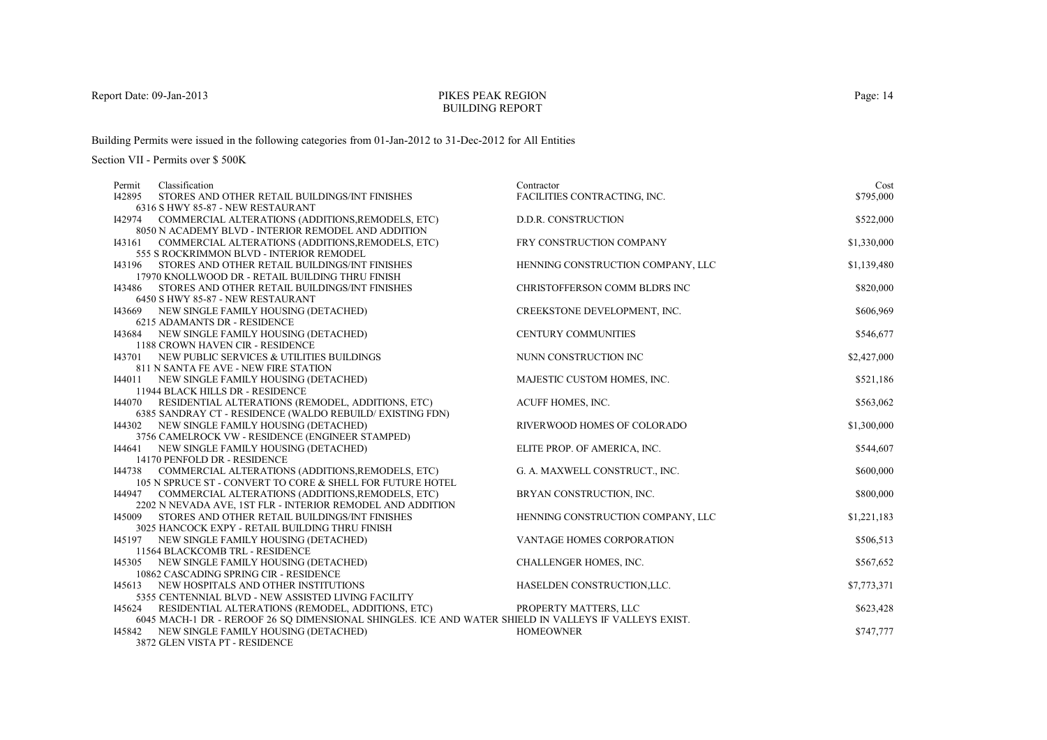# PIKES PEAK REGIONBUILDING REPORT

Building Permits were issued in the following categories from 01-Jan-2012 to 31-Dec-2012 for All Entities

| Classification<br>Permit                                                                                     | Contractor                        | Cost        |
|--------------------------------------------------------------------------------------------------------------|-----------------------------------|-------------|
| I42895<br>STORES AND OTHER RETAIL BUILDINGS/INT FINISHES                                                     | FACILITIES CONTRACTING, INC.      | \$795,000   |
| 6316 S HWY 85-87 - NEW RESTAURANT                                                                            |                                   |             |
| COMMERCIAL ALTERATIONS (ADDITIONS, REMODELS, ETC)<br>I42974                                                  | D.D.R. CONSTRUCTION               | \$522,000   |
| 8050 N ACADEMY BLVD - INTERIOR REMODEL AND ADDITION                                                          |                                   |             |
| 143161<br>COMMERCIAL ALTERATIONS (ADDITIONS, REMODELS, ETC)                                                  | FRY CONSTRUCTION COMPANY          | \$1,330,000 |
| 555 S ROCKRIMMON BLVD - INTERIOR REMODEL                                                                     |                                   |             |
| 143196<br>STORES AND OTHER RETAIL BUILDINGS/INT FINISHES                                                     | HENNING CONSTRUCTION COMPANY, LLC | \$1,139,480 |
| 17970 KNOLLWOOD DR - RETAIL BUILDING THRU FINISH<br>STORES AND OTHER RETAIL BUILDINGS/INT FINISHES<br>143486 | CHRISTOFFERSON COMM BLDRS INC     | \$820,000   |
| 6450 S HWY 85-87 - NEW RESTAURANT                                                                            |                                   |             |
| 143669 NEW SINGLE FAMILY HOUSING (DETACHED)                                                                  | CREEKSTONE DEVELOPMENT, INC.      | \$606,969   |
| 6215 ADAMANTS DR - RESIDENCE                                                                                 |                                   |             |
| 143684 NEW SINGLE FAMILY HOUSING (DETACHED)                                                                  | <b>CENTURY COMMUNITIES</b>        | \$546,677   |
| 1188 CROWN HAVEN CIR - RESIDENCE                                                                             |                                   |             |
| 143701<br>NEW PUBLIC SERVICES & UTILITIES BUILDINGS                                                          | NUNN CONSTRUCTION INC             | \$2,427,000 |
| 811 N SANTA FE AVE - NEW FIRE STATION                                                                        |                                   |             |
| 144011 NEW SINGLE FAMILY HOUSING (DETACHED)                                                                  | MAJESTIC CUSTOM HOMES, INC.       | \$521,186   |
| 11944 BLACK HILLS DR - RESIDENCE                                                                             |                                   |             |
| 144070 RESIDENTIAL ALTERATIONS (REMODEL, ADDITIONS, ETC)                                                     | ACUFF HOMES, INC.                 | \$563,062   |
| 6385 SANDRAY CT - RESIDENCE (WALDO REBUILD/ EXISTING FDN)                                                    |                                   |             |
| NEW SINGLE FAMILY HOUSING (DETACHED)<br>144302                                                               | RIVERWOOD HOMES OF COLORADO       | \$1,300,000 |
| 3756 CAMELROCK VW - RESIDENCE (ENGINEER STAMPED)                                                             |                                   |             |
| 144641 NEW SINGLE FAMILY HOUSING (DETACHED)                                                                  | ELITE PROP. OF AMERICA, INC.      | \$544,607   |
| 14170 PENFOLD DR - RESIDENCE                                                                                 |                                   |             |
| COMMERCIAL ALTERATIONS (ADDITIONS, REMODELS, ETC)<br>144738                                                  | G. A. MAXWELL CONSTRUCT., INC.    | \$600,000   |
| 105 N SPRUCE ST - CONVERT TO CORE & SHELL FOR FUTURE HOTEL                                                   |                                   |             |
| COMMERCIAL ALTERATIONS (ADDITIONS, REMODELS, ETC)<br>144947                                                  | BRYAN CONSTRUCTION, INC.          | \$800,000   |
| 2202 N NEVADA AVE, 1ST FLR - INTERIOR REMODEL AND ADDITION                                                   |                                   |             |
| 145009 STORES AND OTHER RETAIL BUILDINGS/INT FINISHES<br>3025 HANCOCK EXPY - RETAIL BUILDING THRU FINISH     | HENNING CONSTRUCTION COMPANY, LLC | \$1,221,183 |
| 145197 NEW SINGLE FAMILY HOUSING (DETACHED)                                                                  | VANTAGE HOMES CORPORATION         | \$506,513   |
| 11564 BLACKCOMB TRL - RESIDENCE                                                                              |                                   |             |
| NEW SINGLE FAMILY HOUSING (DETACHED)<br>145305                                                               | CHALLENGER HOMES, INC.            | \$567,652   |
| 10862 CASCADING SPRING CIR - RESIDENCE                                                                       |                                   |             |
| 145613<br>NEW HOSPITALS AND OTHER INSTITUTIONS                                                               | HASELDEN CONSTRUCTION, LLC.       | \$7,773,371 |
| 5355 CENTENNIAL BLVD - NEW ASSISTED LIVING FACILITY                                                          |                                   |             |
| RESIDENTIAL ALTERATIONS (REMODEL, ADDITIONS, ETC)<br>145624                                                  | PROPERTY MATTERS, LLC             | \$623,428   |
| 6045 MACH-1 DR - REROOF 26 SO DIMENSIONAL SHINGLES. ICE AND WATER SHIELD IN VALLEYS IF VALLEYS EXIST.        |                                   |             |
| NEW SINGLE FAMILY HOUSING (DETACHED)<br>145842                                                               | <b>HOMEOWNER</b>                  | \$747,777   |
| 3872 GLEN VISTA PT - RESIDENCE                                                                               |                                   |             |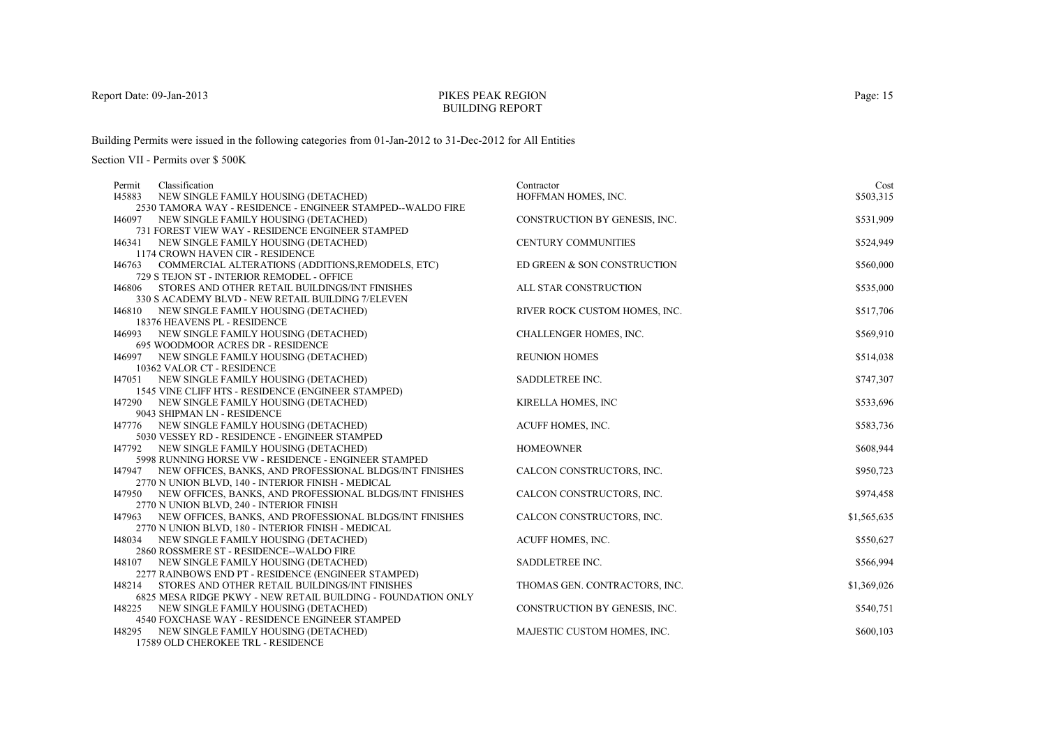# PIKES PEAK REGIONBUILDING REPORT

Building Permits were issued in the following categories from 01-Jan-2012 to 31-Dec-2012 for All Entities

| Permit | Classification                                                                             | Contractor                    | Cost        |
|--------|--------------------------------------------------------------------------------------------|-------------------------------|-------------|
| I45883 | NEW SINGLE FAMILY HOUSING (DETACHED)                                                       | HOFFMAN HOMES, INC.           | \$503,315   |
|        | 2530 TAMORA WAY - RESIDENCE - ENGINEER STAMPED--WALDO FIRE                                 |                               |             |
|        | 146097 NEW SINGLE FAMILY HOUSING (DETACHED)                                                | CONSTRUCTION BY GENESIS, INC. | \$531,909   |
|        | 731 FOREST VIEW WAY - RESIDENCE ENGINEER STAMPED                                           |                               |             |
|        | 146341 NEW SINGLE FAMILY HOUSING (DETACHED)                                                | <b>CENTURY COMMUNITIES</b>    | \$524,949   |
|        | 1174 CROWN HAVEN CIR - RESIDENCE                                                           |                               |             |
| 146763 | COMMERCIAL ALTERATIONS (ADDITIONS, REMODELS, ETC)                                          | ED GREEN & SON CONSTRUCTION   | \$560,000   |
|        | 729 S TEJON ST - INTERIOR REMODEL - OFFICE                                                 |                               |             |
| 146806 | STORES AND OTHER RETAIL BUILDINGS/INT FINISHES                                             | ALL STAR CONSTRUCTION         | \$535,000   |
|        | 330 S ACADEMY BLVD - NEW RETAIL BUILDING 7/ELEVEN                                          |                               |             |
|        | 146810 NEW SINGLE FAMILY HOUSING (DETACHED)                                                | RIVER ROCK CUSTOM HOMES, INC. | \$517,706   |
|        | 18376 HEAVENS PL - RESIDENCE                                                               |                               |             |
| 146993 | NEW SINGLE FAMILY HOUSING (DETACHED)                                                       | CHALLENGER HOMES, INC.        | \$569,910   |
|        | 695 WOODMOOR ACRES DR - RESIDENCE                                                          |                               |             |
|        | 146997 NEW SINGLE FAMILY HOUSING (DETACHED)                                                | <b>REUNION HOMES</b>          | \$514,038   |
|        | 10362 VALOR CT - RESIDENCE                                                                 |                               |             |
| 147051 | NEW SINGLE FAMILY HOUSING (DETACHED)                                                       | SADDLETREE INC.               | \$747,307   |
|        | 1545 VINE CLIFF HTS - RESIDENCE (ENGINEER STAMPED)                                         |                               |             |
| 147290 | NEW SINGLE FAMILY HOUSING (DETACHED)                                                       | KIRELLA HOMES, INC            | \$533,696   |
|        | 9043 SHIPMAN LN - RESIDENCE                                                                |                               |             |
|        | 147776 NEW SINGLE FAMILY HOUSING (DETACHED)                                                | ACUFF HOMES, INC.             | \$583,736   |
|        | 5030 VESSEY RD - RESIDENCE - ENGINEER STAMPED                                              |                               |             |
|        | 147792 NEW SINGLE FAMILY HOUSING (DETACHED)                                                | <b>HOMEOWNER</b>              | \$608,944   |
|        | 5998 RUNNING HORSE VW - RESIDENCE - ENGINEER STAMPED                                       |                               |             |
|        | 147947 NEW OFFICES, BANKS, AND PROFESSIONAL BLDGS/INT FINISHES                             | CALCON CONSTRUCTORS, INC.     | \$950,723   |
|        | 2770 N UNION BLVD, 140 - INTERIOR FINISH - MEDICAL                                         |                               |             |
|        | 147950 NEW OFFICES, BANKS, AND PROFESSIONAL BLDGS/INT FINISHES                             | CALCON CONSTRUCTORS, INC.     | \$974,458   |
|        | 2770 N UNION BLVD, 240 - INTERIOR FINISH                                                   | CALCON CONSTRUCTORS, INC.     |             |
|        | 147963 NEW OFFICES, BANKS, AND PROFESSIONAL BLDGS/INT FINISHES                             |                               | \$1,565,635 |
| 148034 | 2770 N UNION BLVD, 180 - INTERIOR FINISH - MEDICAL<br>NEW SINGLE FAMILY HOUSING (DETACHED) | ACUFF HOMES, INC.             | \$550,627   |
|        | 2860 ROSSMERE ST - RESIDENCE--WALDO FIRE                                                   |                               |             |
| 148107 | NEW SINGLE FAMILY HOUSING (DETACHED)                                                       | SADDLETREE INC.               | \$566,994   |
|        | 2277 RAINBOWS END PT - RESIDENCE (ENGINEER STAMPED)                                        |                               |             |
| 148214 | STORES AND OTHER RETAIL BUILDINGS/INT FINISHES                                             | THOMAS GEN. CONTRACTORS, INC. | \$1,369,026 |
|        | 6825 MESA RIDGE PKWY - NEW RETAIL BUILDING - FOUNDATION ONLY                               |                               |             |
| 148225 | NEW SINGLE FAMILY HOUSING (DETACHED)                                                       | CONSTRUCTION BY GENESIS, INC. | \$540,751   |
|        | 4540 FOXCHASE WAY - RESIDENCE ENGINEER STAMPED                                             |                               |             |
|        | 148295 NEW SINGLE FAMILY HOUSING (DETACHED)                                                | MAJESTIC CUSTOM HOMES, INC.   | \$600,103   |
|        | 17589 OLD CHEROKEE TRL - RESIDENCE                                                         |                               |             |
|        |                                                                                            |                               |             |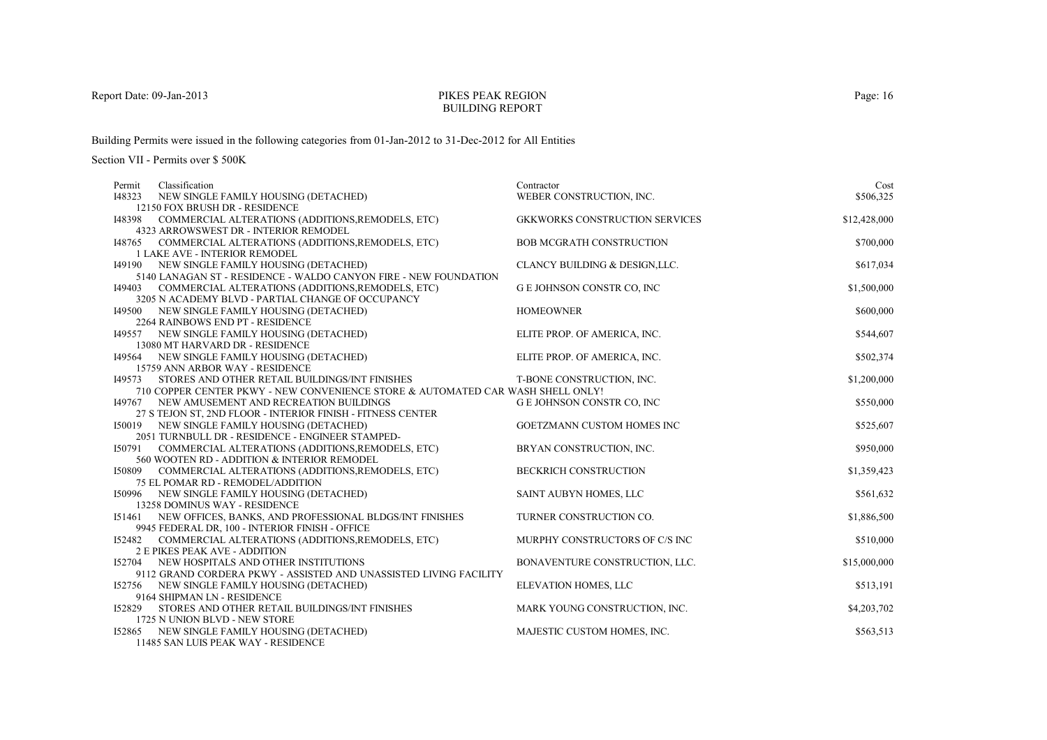### PIKES PEAK REGIONBUILDING REPORT

Building Permits were issued in the following categories from 01-Jan-2012 to 31-Dec-2012 for All Entities

| Classification<br>Permit                                                                                        | Contractor                            | Cost         |
|-----------------------------------------------------------------------------------------------------------------|---------------------------------------|--------------|
| I48323<br>NEW SINGLE FAMILY HOUSING (DETACHED)                                                                  | WEBER CONSTRUCTION, INC.              | \$506,325    |
| 12150 FOX BRUSH DR - RESIDENCE                                                                                  |                                       |              |
| COMMERCIAL ALTERATIONS (ADDITIONS, REMODELS, ETC)<br>148398                                                     | <b>GKKWORKS CONSTRUCTION SERVICES</b> | \$12,428,000 |
| 4323 ARROWSWEST DR - INTERIOR REMODEL                                                                           |                                       |              |
| I48765 COMMERCIAL ALTERATIONS (ADDITIONS, REMODELS, ETC)                                                        | <b>BOB MCGRATH CONSTRUCTION</b>       | \$700,000    |
| <b>1 LAKE AVE - INTERIOR REMODEL</b>                                                                            |                                       |              |
| 149190 NEW SINGLE FAMILY HOUSING (DETACHED)<br>5140 LANAGAN ST - RESIDENCE - WALDO CANYON FIRE - NEW FOUNDATION | CLANCY BUILDING & DESIGN, LLC.        | \$617,034    |
| COMMERCIAL ALTERATIONS (ADDITIONS, REMODELS, ETC)<br>149403                                                     | <b>GE JOHNSON CONSTR CO, INC</b>      | \$1,500,000  |
| 3205 N ACADEMY BLVD - PARTIAL CHANGE OF OCCUPANCY                                                               |                                       |              |
| 149500 NEW SINGLE FAMILY HOUSING (DETACHED)                                                                     | <b>HOMEOWNER</b>                      | \$600,000    |
| 2264 RAINBOWS END PT - RESIDENCE                                                                                |                                       |              |
| 149557 NEW SINGLE FAMILY HOUSING (DETACHED)                                                                     | ELITE PROP. OF AMERICA, INC.          | \$544,607    |
| 13080 MT HARVARD DR - RESIDENCE                                                                                 |                                       |              |
| 149564 NEW SINGLE FAMILY HOUSING (DETACHED)                                                                     | ELITE PROP. OF AMERICA, INC.          | \$502,374    |
| 15759 ANN ARBOR WAY - RESIDENCE                                                                                 |                                       |              |
| STORES AND OTHER RETAIL BUILDINGS/INT FINISHES<br>149573                                                        | T-BONE CONSTRUCTION, INC.             | \$1,200,000  |
| 710 COPPER CENTER PKWY - NEW CONVENIENCE STORE & AUTOMATED CAR WASH SHELL ONLY!                                 |                                       |              |
| 149767 NEW AMUSEMENT AND RECREATION BUILDINGS                                                                   | <b>GE JOHNSON CONSTR CO, INC</b>      | \$550,000    |
| 27 S TEJON ST, 2ND FLOOR - INTERIOR FINISH - FITNESS CENTER                                                     |                                       |              |
| 150019 NEW SINGLE FAMILY HOUSING (DETACHED)                                                                     | GOETZMANN CUSTOM HOMES INC            | \$525,607    |
| 2051 TURNBULL DR - RESIDENCE - ENGINEER STAMPED-                                                                |                                       |              |
| 150791<br>COMMERCIAL ALTERATIONS (ADDITIONS,REMODELS, ETC)                                                      | BRYAN CONSTRUCTION, INC.              | \$950,000    |
| 560 WOOTEN RD - ADDITION & INTERIOR REMODEL                                                                     |                                       |              |
| 150809 COMMERCIAL ALTERATIONS (ADDITIONS, REMODELS, ETC)<br>75 EL POMAR RD - REMODEL/ADDITION                   | <b>BECKRICH CONSTRUCTION</b>          | \$1,359,423  |
| 150996 NEW SINGLE FAMILY HOUSING (DETACHED)                                                                     | SAINT AUBYN HOMES, LLC                | \$561,632    |
| 13258 DOMINUS WAY - RESIDENCE                                                                                   |                                       |              |
| 151461 NEW OFFICES, BANKS, AND PROFESSIONAL BLDGS/INT FINISHES                                                  | TURNER CONSTRUCTION CO.               | \$1,886,500  |
| 9945 FEDERAL DR, 100 - INTERIOR FINISH - OFFICE                                                                 |                                       |              |
| I52482<br>COMMERCIAL ALTERATIONS (ADDITIONS, REMODELS, ETC)                                                     | MURPHY CONSTRUCTORS OF C/S INC        | \$510,000    |
| <b>2 E PIKES PEAK AVE - ADDITION</b>                                                                            |                                       |              |
| NEW HOSPITALS AND OTHER INSTITUTIONS<br>152704                                                                  | BONAVENTURE CONSTRUCTION, LLC.        | \$15,000,000 |
| 9112 GRAND CORDERA PKWY - ASSISTED AND UNASSISTED LIVING FACILITY                                               |                                       |              |
| NEW SINGLE FAMILY HOUSING (DETACHED)<br>152756                                                                  | ELEVATION HOMES, LLC                  | \$513,191    |
| 9164 SHIPMAN LN - RESIDENCE                                                                                     |                                       |              |
| STORES AND OTHER RETAIL BUILDINGS/INT FINISHES<br>I52829                                                        | MARK YOUNG CONSTRUCTION, INC.         | \$4,203,702  |
| 1725 N UNION BLVD - NEW STORE                                                                                   |                                       |              |
| 152865 NEW SINGLE FAMILY HOUSING (DETACHED)                                                                     | MAJESTIC CUSTOM HOMES, INC.           | \$563,513    |
| 11485 SAN LUIS PEAK WAY - RESIDENCE                                                                             |                                       |              |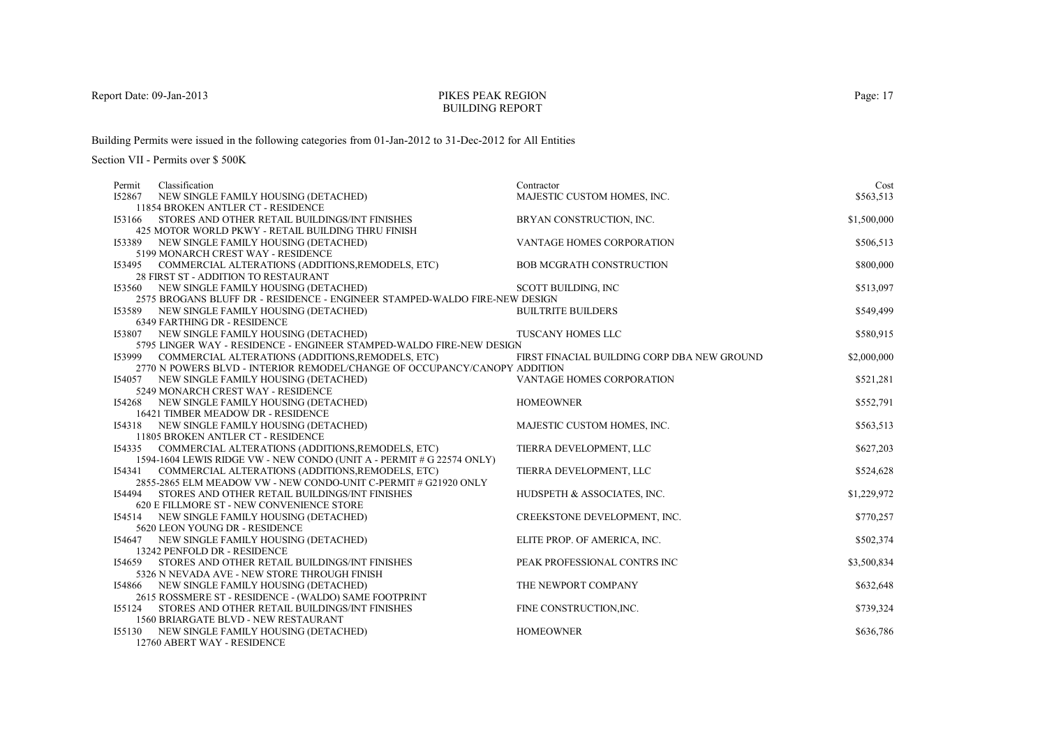#### PIKES PEAK REGIONBUILDING REPORT

Building Permits were issued in the following categories from 01-Jan-2012 to 31-Dec-2012 for All Entities

| MAJESTIC CUSTOM HOMES, INC.<br>\$563,513<br>I52867<br>NEW SINGLE FAMILY HOUSING (DETACHED)<br>11854 BROKEN ANTLER CT - RESIDENCE<br>\$1,500,000<br>STORES AND OTHER RETAIL BUILDINGS/INT FINISHES<br>BRYAN CONSTRUCTION, INC.<br>153166 |
|-----------------------------------------------------------------------------------------------------------------------------------------------------------------------------------------------------------------------------------------|
|                                                                                                                                                                                                                                         |
|                                                                                                                                                                                                                                         |
|                                                                                                                                                                                                                                         |
| 425 MOTOR WORLD PKWY - RETAIL BUILDING THRU FINISH                                                                                                                                                                                      |
| \$506,513<br>VANTAGE HOMES CORPORATION<br>153389 NEW SINGLE FAMILY HOUSING (DETACHED)                                                                                                                                                   |
| 5199 MONARCH CREST WAY - RESIDENCE                                                                                                                                                                                                      |
| \$800,000<br>COMMERCIAL ALTERATIONS (ADDITIONS, REMODELS, ETC)<br><b>BOB MCGRATH CONSTRUCTION</b><br>153495                                                                                                                             |
| 28 FIRST ST - ADDITION TO RESTAURANT                                                                                                                                                                                                    |
| \$513,097<br>NEW SINGLE FAMILY HOUSING (DETACHED)<br><b>SCOTT BUILDING, INC</b><br>153560                                                                                                                                               |
| 2575 BROGANS BLUFF DR - RESIDENCE - ENGINEER STAMPED-WALDO FIRE-NEW DESIGN                                                                                                                                                              |
| \$549,499<br><b>BUILTRITE BUILDERS</b><br>153589<br>NEW SINGLE FAMILY HOUSING (DETACHED)                                                                                                                                                |
| 6349 FARTHING DR - RESIDENCE                                                                                                                                                                                                            |
| \$580,915<br>NEW SINGLE FAMILY HOUSING (DETACHED)<br>TUSCANY HOMES LLC<br>153807                                                                                                                                                        |
| 5795 LINGER WAY - RESIDENCE - ENGINEER STAMPED-WALDO FIRE-NEW DESIGN                                                                                                                                                                    |
| \$2,000,000<br>153999 COMMERCIAL ALTERATIONS (ADDITIONS, REMODELS, ETC)<br>FIRST FINACIAL BUILDING CORP DBA NEW GROUND                                                                                                                  |
| 2770 N POWERS BLVD - INTERIOR REMODEL/CHANGE OF OCCUPANCY/CANOPY ADDITION                                                                                                                                                               |
| \$521,281<br>154057 NEW SINGLE FAMILY HOUSING (DETACHED)<br>VANTAGE HOMES CORPORATION                                                                                                                                                   |
| 5249 MONARCH CREST WAY - RESIDENCE                                                                                                                                                                                                      |
| <b>HOMEOWNER</b><br>\$552,791<br>NEW SINGLE FAMILY HOUSING (DETACHED)<br>154268                                                                                                                                                         |
| 16421 TIMBER MEADOW DR - RESIDENCE                                                                                                                                                                                                      |
| \$563,513<br>NEW SINGLE FAMILY HOUSING (DETACHED)<br>MAJESTIC CUSTOM HOMES, INC.<br>154318                                                                                                                                              |
| 11805 BROKEN ANTLER CT - RESIDENCE                                                                                                                                                                                                      |
| \$627,203<br>154335 COMMERCIAL ALTERATIONS (ADDITIONS, REMODELS, ETC)<br>TIERRA DEVELOPMENT, LLC                                                                                                                                        |
| 1594-1604 LEWIS RIDGE VW - NEW CONDO (UNIT A - PERMIT # G 22574 ONLY)                                                                                                                                                                   |
| TIERRA DEVELOPMENT, LLC<br>\$524,628<br>COMMERCIAL ALTERATIONS (ADDITIONS,REMODELS, ETC)<br>154341                                                                                                                                      |
| 2855-2865 ELM MEADOW VW - NEW CONDO-UNIT C-PERMIT # G21920 ONLY                                                                                                                                                                         |
| \$1,229,972<br>HUDSPETH & ASSOCIATES, INC.<br>STORES AND OTHER RETAIL BUILDINGS/INT FINISHES<br>154494<br>620 E FILLMORE ST - NEW CONVENIENCE STORE                                                                                     |
| \$770,257<br>CREEKSTONE DEVELOPMENT, INC.<br>154514 NEW SINGLE FAMILY HOUSING (DETACHED)                                                                                                                                                |
| 5620 LEON YOUNG DR - RESIDENCE                                                                                                                                                                                                          |
| \$502,374<br>154647 NEW SINGLE FAMILY HOUSING (DETACHED)<br>ELITE PROP. OF AMERICA, INC.                                                                                                                                                |
| 13242 PENFOLD DR - RESIDENCE                                                                                                                                                                                                            |
| STORES AND OTHER RETAIL BUILDINGS/INT FINISHES<br>PEAK PROFESSIONAL CONTRS INC<br>\$3,500,834<br>154659                                                                                                                                 |
| 5326 N NEVADA AVE - NEW STORE THROUGH FINISH                                                                                                                                                                                            |
| THE NEWPORT COMPANY<br>\$632,648<br>154866 NEW SINGLE FAMILY HOUSING (DETACHED)                                                                                                                                                         |
| 2615 ROSSMERE ST - RESIDENCE - (WALDO) SAME FOOTPRINT                                                                                                                                                                                   |
| STORES AND OTHER RETAIL BUILDINGS/INT FINISHES<br>FINE CONSTRUCTION, INC.<br>\$739,324<br>155124                                                                                                                                        |
| <b>1560 BRIARGATE BLVD - NEW RESTAURANT</b>                                                                                                                                                                                             |
| <b>HOMEOWNER</b><br>\$636,786<br>NEW SINGLE FAMILY HOUSING (DETACHED)<br>155130                                                                                                                                                         |
| 12760 ABERT WAY - RESIDENCE                                                                                                                                                                                                             |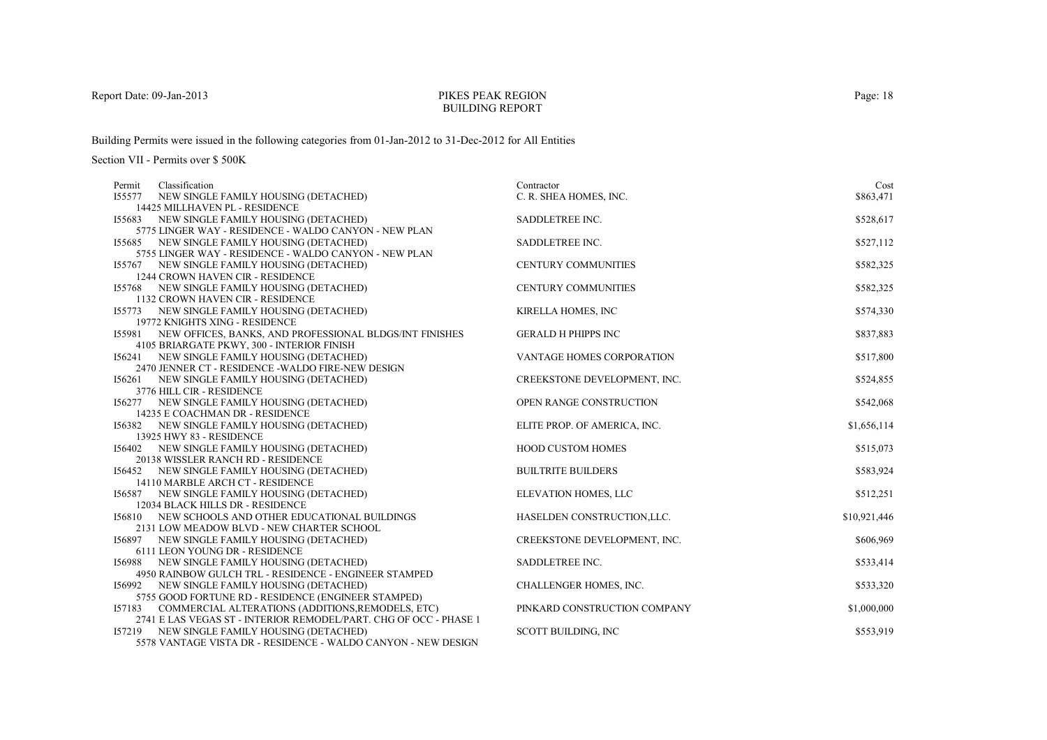#### PIKES PEAK REGIONBUILDING REPORT

Building Permits were issued in the following categories from 01-Jan-2012 to 31-Dec-2012 for All Entities

| Permit | Classification                                                           | Contractor                   | Cost         |
|--------|--------------------------------------------------------------------------|------------------------------|--------------|
| 155577 | NEW SINGLE FAMILY HOUSING (DETACHED)                                     | C. R. SHEA HOMES, INC.       | \$863,471    |
|        | 14425 MILLHAVEN PL - RESIDENCE                                           |                              |              |
| 155683 | NEW SINGLE FAMILY HOUSING (DETACHED)                                     | SADDLETREE INC.              | \$528,617    |
|        | 5775 LINGER WAY - RESIDENCE - WALDO CANYON - NEW PLAN                    |                              |              |
|        | 155685 NEW SINGLE FAMILY HOUSING (DETACHED)                              | SADDLETREE INC.              | \$527,112    |
|        | 5755 LINGER WAY - RESIDENCE - WALDO CANYON - NEW PLAN                    |                              |              |
|        | 155767 NEW SINGLE FAMILY HOUSING (DETACHED)                              | <b>CENTURY COMMUNITIES</b>   | \$582,325    |
|        | 1244 CROWN HAVEN CIR - RESIDENCE                                         |                              |              |
| 155768 | NEW SINGLE FAMILY HOUSING (DETACHED)                                     | <b>CENTURY COMMUNITIES</b>   | \$582,325    |
|        | 1132 CROWN HAVEN CIR - RESIDENCE                                         |                              |              |
|        | 155773 NEW SINGLE FAMILY HOUSING (DETACHED)                              | KIRELLA HOMES, INC           | \$574,330    |
|        | 19772 KNIGHTS XING - RESIDENCE                                           |                              |              |
|        | 155981 NEW OFFICES, BANKS, AND PROFESSIONAL BLDGS/INT FINISHES           | <b>GERALD H PHIPPS INC</b>   | \$837,883    |
|        | 4105 BRIARGATE PKWY, 300 - INTERIOR FINISH                               |                              |              |
|        | 156241 NEW SINGLE FAMILY HOUSING (DETACHED)                              | VANTAGE HOMES CORPORATION    | \$517,800    |
|        | 2470 JENNER CT - RESIDENCE -WALDO FIRE-NEW DESIGN                        |                              | \$524,855    |
|        | 156261 NEW SINGLE FAMILY HOUSING (DETACHED)<br>3776 HILL CIR - RESIDENCE | CREEKSTONE DEVELOPMENT, INC. |              |
|        | 156277 NEW SINGLE FAMILY HOUSING (DETACHED)                              | OPEN RANGE CONSTRUCTION      | \$542,068    |
|        | 14235 E COACHMAN DR - RESIDENCE                                          |                              |              |
|        | 156382 NEW SINGLE FAMILY HOUSING (DETACHED)                              | ELITE PROP. OF AMERICA, INC. | \$1,656,114  |
|        | 13925 HWY 83 - RESIDENCE                                                 |                              |              |
|        | 156402 NEW SINGLE FAMILY HOUSING (DETACHED)                              | <b>HOOD CUSTOM HOMES</b>     | \$515,073    |
|        | 20138 WISSLER RANCH RD - RESIDENCE                                       |                              |              |
|        | 156452 NEW SINGLE FAMILY HOUSING (DETACHED)                              | <b>BUILTRITE BUILDERS</b>    | \$583,924    |
|        | 14110 MARBLE ARCH CT - RESIDENCE                                         |                              |              |
|        | 156587 NEW SINGLE FAMILY HOUSING (DETACHED)                              | ELEVATION HOMES, LLC         | \$512,251    |
|        | 12034 BLACK HILLS DR - RESIDENCE                                         |                              |              |
|        | I56810 NEW SCHOOLS AND OTHER EDUCATIONAL BUILDINGS                       | HASELDEN CONSTRUCTION,LLC.   | \$10,921,446 |
|        | 2131 LOW MEADOW BLVD - NEW CHARTER SCHOOL                                |                              |              |
|        | 156897 NEW SINGLE FAMILY HOUSING (DETACHED)                              | CREEKSTONE DEVELOPMENT, INC. | \$606,969    |
|        | 6111 LEON YOUNG DR - RESIDENCE                                           |                              |              |
| 156988 | NEW SINGLE FAMILY HOUSING (DETACHED)                                     | SADDLETREE INC.              | \$533,414    |
|        | 4950 RAINBOW GULCH TRL - RESIDENCE - ENGINEER STAMPED                    |                              |              |
| 156992 | NEW SINGLE FAMILY HOUSING (DETACHED)                                     | CHALLENGER HOMES, INC.       | \$533,320    |
|        | 5755 GOOD FORTUNE RD - RESIDENCE (ENGINEER STAMPED)                      |                              |              |
| 157183 | COMMERCIAL ALTERATIONS (ADDITIONS, REMODELS, ETC)                        | PINKARD CONSTRUCTION COMPANY | \$1,000,000  |
|        | 2741 E LAS VEGAS ST - INTERIOR REMODEL/PART. CHG OF OCC - PHASE 1        |                              |              |
|        | 157219 NEW SINGLE FAMILY HOUSING (DETACHED)                              | <b>SCOTT BUILDING, INC</b>   | \$553,919    |
|        | 5578 VANTAGE VISTA DR - RESIDENCE - WALDO CANYON - NEW DESIGN            |                              |              |